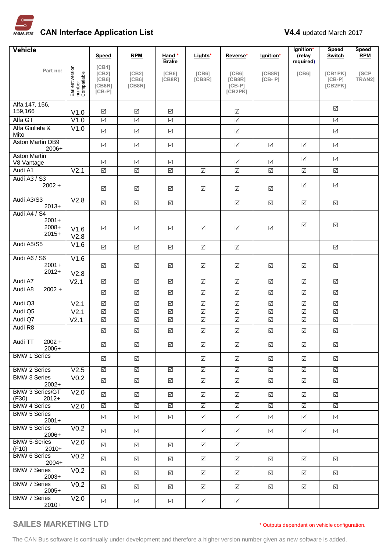

| <b>Vehicle</b>                                        |                                           | Speed                                                      | <b>RPM</b>                         | Hand*                        | Lights*                                            | Reverse*                                            | lgnition*                  | lgnition*<br>(relay     | <b>Speed</b><br><b>Switch</b>  | <b>Speed</b><br><b>RPM</b> |
|-------------------------------------------------------|-------------------------------------------|------------------------------------------------------------|------------------------------------|------------------------------|----------------------------------------------------|-----------------------------------------------------|----------------------------|-------------------------|--------------------------------|----------------------------|
|                                                       |                                           |                                                            |                                    | <b>Brake</b>                 |                                                    |                                                     |                            | required)               |                                |                            |
| Part no:                                              | Earliest version<br>number<br>Compatiable | [CB1]<br>[CB2]<br>[C <sub>B6</sub> ]<br>[CB8R]<br>$[CB-P]$ | [CB2]<br>[CB6]<br>[CB8R]           | [C <sub>B6</sub> ]<br>[CB8R] | [C <sub>B6</sub> ]<br>[CB8R]                       | [C <sub>B6</sub> ]<br>[CB8R]<br>$[CB-P]$<br>[CB2PK] | [CB8R]<br>$[CB - P]$       | [C <sub>B6</sub> ]      | [CB1PK]<br>$[CB-P]$<br>[CB2PK] | [SCP<br>TRAN2]             |
|                                                       |                                           |                                                            |                                    |                              |                                                    |                                                     |                            |                         |                                |                            |
| Alfa 147, 156,<br>159,166                             | V1.0                                      | $\boxed{\checkmark}$                                       | ☑                                  | ☑                            |                                                    | ☑                                                   |                            |                         | ☑                              |                            |
| Alfa GT                                               | V1.0                                      | $\overline{\leq}$                                          | $\boxed{\checkmark}$               | $\boxed{\checkmark}$         |                                                    | $\boxed{\checkmark}$                                |                            |                         | $\overline{\mathsf{M}}$        |                            |
| Alfa Giulieta &<br>Mito                               | V1.0                                      | $\Delta$                                                   | $\boxed{\checkmark}$               | $\boxed{\checkmark}$         |                                                    | $\boxed{\checkmark}$                                |                            |                         | $\boxed{\checkmark}$           |                            |
| <b>Aston Martin DB9</b><br>2006+                      |                                           | $\boxed{\checkmark}$                                       | $\triangledown$                    | $\Delta$                     |                                                    | $\boxed{\checkmark}$                                | $\boxed{\checkmark}$       | ☑                       | ☑                              |                            |
| <b>Aston Martin</b><br>V8 Vantage                     |                                           | $\boxed{\checkmark}$                                       | $\boxed{\checkmark}$               | ☑                            |                                                    | ☑                                                   | ☑                          | $\boxed{\searrow}$      | $\boxed{\checkmark}$           |                            |
| Audi A1                                               | V <sub>2.1</sub>                          | $\overline{\leq}$                                          | $\overline{\leq}$                  | $\boxed{\checkmark}$         | $\boxed{\checkmark}$                               | $\boxed{\checkmark}$                                | $\overline{\leq}$          | $\overline{\mathbb{S}}$ | $\boxed{\checkmark}$           |                            |
| Audi A3 / S3<br>$2002 +$                              |                                           | $\boxed{\checkmark}$                                       | $\boxed{\checkmark}$               | $\Delta$                     | $\boxed{\searrow}$                                 | $\boxed{\checkmark}$                                | $\boxed{\checkmark}$       | ☑                       | ☑                              |                            |
| Audi A3/S3<br>$2013+$                                 | V2.8                                      | $\boxed{\checkmark}$                                       | $\Delta$                           | $\boxed{\checkmark}$         |                                                    | $\boxed{\checkmark}$                                | $\Delta$                   | $\boxed{\checkmark}$    | $\boxed{\checkmark}$           |                            |
| Audi A4 / S4<br>$2001+$<br>2008+<br>$2015+$           | V1.6<br>V2.8                              | $\boxed{\checkmark}$                                       | $\boxed{\checkmark}$               | ☑                            | $\boxed{\checkmark}$                               | $\boxed{\checkmark}$                                | $\boxed{\searrow}$         | $\boxed{\checkmark}$    | $\boxed{\checkmark}$           |                            |
| Audi A5/S5                                            | V1.6                                      | $\Delta$                                                   | $\sqrt{}$                          | $\Delta$                     | $\sqrt{}$                                          | $\boxed{\checkmark}$                                |                            |                         | $\Delta$                       |                            |
| Audi A6 / S6                                          | V1.6                                      |                                                            |                                    |                              |                                                    |                                                     |                            |                         |                                |                            |
| $2001+$<br>$2012+$                                    | V2.8                                      | $\boxed{\checkmark}$                                       | $\boxed{\checkmark}$               | $\Delta$                     | $\boxed{\checkmark}$                               | $\boxed{\blacktriangledown}$                        | $\boxed{\searrow}$         | $\boxed{\checkmark}$    | $\boxed{\checkmark}$           |                            |
| Audi A7                                               | V <sub>2.1</sub>                          | $\triangledown$                                            | $\triangledown$                    | $\overline{\Delta}$          | $\overline{\mathsf{S}}$                            | $\overline{\mathbb{S}}$                             | $\overline{\mathbb{S}}$    | $\overline{\mathsf{S}}$ | $\overline{\triangleleft}$     |                            |
| Audi A8<br>$2002 +$                                   |                                           | $\boxed{\checkmark}$                                       | $\boxed{\checkmark}$               | $\boxed{\checkmark}$         | $\boxed{\checkmark}$                               | $\boxed{\checkmark}$                                | $\boxed{\checkmark}$       | $\boxed{\checkmark}$    | $\boxed{\checkmark}$           |                            |
| Audi Q3                                               | V <sub>2.1</sub>                          | $\boxed{\checkmark}$                                       | $\boxed{\checkmark}$               | $\boxed{\checkmark}$         | $\boxed{\checkmark}$                               | $\boxed{\checkmark}$                                | $\boxed{\checkmark}$       | $\boxed{\checkmark}$    | $\Delta$                       |                            |
| Audi Q5<br>Audi Q7                                    | V <sub>2.1</sub>                          | $\triangledown$<br>$\triangledown$                         | $\triangledown$<br>$\triangledown$ | $\overline{\Delta}$          | $\overline{\mathsf{S}}$<br>$\overline{\mathsf{S}}$ | $\overline{\blacktriangleleft}$                     | $\overline{\leq}$          | $\overline{\leq}$       | $\overline{\triangleleft}$     |                            |
| Audi R8                                               | V <sub>2.1</sub>                          |                                                            |                                    | $\overline{\triangleleft}$   |                                                    | $\overline{\blacktriangleleft}$                     | $\overline{\leq}$          | $\overline{\leq}$       | $\overline{\Delta}$            |                            |
|                                                       |                                           | $\boxed{\checkmark}$                                       | $\boxed{\checkmark}$               | ☑                            | $\boxed{\searrow}$                                 | ☑                                                   | ☑                          | $\boxed{\checkmark}$    | ☑                              |                            |
| Audi TT<br>$2002 +$<br>$2006+$<br><b>BMW 1 Series</b> |                                           | $\Delta$                                                   | ☑                                  | ☑                            | ☑                                                  | ☑                                                   | ☑                          | ☑                       | ☑                              |                            |
|                                                       |                                           | $\triangledown$                                            | $\sqrt{}$                          |                              | ☑                                                  | ☑                                                   | ☑                          | ☑                       | ☑                              |                            |
| <b>BMW 2 Series</b>                                   | V2.5                                      | $\Delta$                                                   | $\overline{\mathsf{v}}$            | $\Delta$                     | $\sqrt{}$                                          | $\sqrt{}$                                           | $\Delta$                   | $\boxed{\checkmark}$    | $\sqrt{}$                      |                            |
| <b>BMW 3 Series</b><br>$2002+$                        | V <sub>0.2</sub>                          | $\boxed{\checkmark}$                                       | $\Delta$                           | ☑                            | $\Delta$                                           | ☑                                                   | $\Delta$                   | ☑                       | ☑                              |                            |
| <b>BMW 3 Series/GT</b><br>(F30)<br>$2012+$            | V <sub>2.0</sub>                          | $\sqrt{}$                                                  | $\sqrt{}$                          | ☑                            | $\Delta$                                           | ☑                                                   | $\Delta$                   | $\Delta$                | ☑                              |                            |
| <b>BMW 4 Series</b>                                   | V2.0                                      | $\overline{\blacktriangleleft}$                            | $\overline{\vee}$                  | $\overline{\mathbb{S}}$      | $\overline{\blacktriangleleft}$                    | $\overline{\triangleleft}$                          | $\overline{\triangleleft}$ | $\overline{\mathbb{S}}$ | $\overline{\mathsf{M}}$        |                            |
| <b>BMW 5 Series</b><br>$2001+$                        |                                           | $\triangledown$                                            | $\sqrt{}$                          | ☑                            | $\Delta$                                           | ☑                                                   | ☑                          | $\boxed{\checkmark}$    | ☑                              |                            |
| <b>BMW 5 Series</b><br>$2006+$                        | V <sub>0.2</sub>                          | $\triangledown$                                            | $\sqrt{}$                          |                              | ☑                                                  | ☑                                                   | ☑                          | ☑                       | ☑                              |                            |
| <b>BMW 5-Series</b><br>(F10)<br>$2010+$               | V <sub>2.0</sub>                          | $\boxed{\checkmark}$                                       | ☑                                  | ☑                            | ☑                                                  | ☑                                                   |                            |                         |                                |                            |
| <b>BMW 6 Series</b><br>$2004+$                        | V <sub>0.2</sub>                          | $\Delta$                                                   | ☑                                  | ☑                            | ☑                                                  | ☑                                                   | ☑                          | ☑                       | ☑                              |                            |
| <b>BMW 7 Series</b><br>$2003+$                        | V <sub>0.2</sub>                          | $\overline{\mathsf{v}}$                                    | $\triangledown$                    | $\sqrt{ }$                   | $\Delta$                                           | $\sqrt{}$                                           | $\Delta$                   | $\Delta$                | $\triangledown$                |                            |
| <b>BMW 7 Series</b><br>$2005+$                        | V <sub>0.2</sub>                          | $\triangledown$                                            | $\triangledown$                    | ☑                            | ☑                                                  | ☑                                                   | ☑                          | ☑                       | ☑                              |                            |
| <b>BMW 7 Series</b><br>$2010+$                        | V <sub>2.0</sub>                          | $\boxed{\checkmark}$                                       | $\sqrt{}$                          | ☑                            | ☑                                                  | ☑                                                   |                            |                         |                                |                            |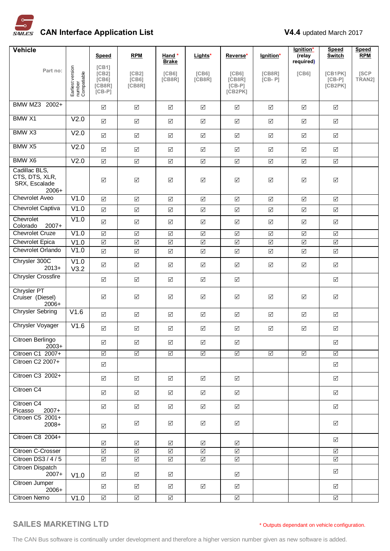

| <b>Vehicle</b>                                              |                                           |                                                            |                                 |                                 |                         |                                          |                      | lgnition*                       | <b>Speed</b>                   | <b>Speed</b>   |
|-------------------------------------------------------------|-------------------------------------------|------------------------------------------------------------|---------------------------------|---------------------------------|-------------------------|------------------------------------------|----------------------|---------------------------------|--------------------------------|----------------|
|                                                             |                                           | Speed                                                      | <b>RPM</b>                      | Hand *<br><b>Brake</b>          | Lights*                 | Reverse*                                 | lgnition*            | (relay<br>required)             | <b>Switch</b>                  | <b>RPM</b>     |
| Part no:                                                    | Earliest version<br>number<br>Compatiable | [CB1]<br>[CB2]<br>[C <sub>B6</sub> ]<br>[CB8R]<br>$[CB-P]$ | [CB2]<br>[C B 6]<br>[CB8R]      | [C <sub>B6</sub> ]<br>[CB8R]    | [C B 6]<br>[CB8R]       | [C B 6]<br>[CB8R]<br>$[CB-P]$<br>[CB2PK] | [CB8R]<br>$[CB - P]$ | [C <sub>B6</sub> ]              | [CB1PK]<br>$[CB-P]$<br>[CB2PK] | [SCP<br>TRAN2] |
| BMW MZ3 2002+                                               |                                           | $\boxed{\checkmark}$                                       | $\overline{\mathsf{v}}$         | $\boxed{\checkmark}$            | $\boxed{\checkmark}$    | $\boxed{\checkmark}$                     | $\Delta$             | $\boxed{\checkmark}$            | $\Delta$                       |                |
| <b>BMW X1</b>                                               | V <sub>2.0</sub>                          | $\Delta$                                                   | $\boxed{\checkmark}$            | $\boxed{\checkmark}$            | $\boxed{\checkmark}$    | $\boxed{\checkmark}$                     | $\boxed{\checkmark}$ | $\boxed{\checkmark}$            | $\boxed{\checkmark}$           |                |
| BMW X3                                                      | V2.0                                      | $\Delta$                                                   | $\overline{\mathsf{v}}$         | $\boxed{\checkmark}$            | $\boxed{\checkmark}$    | $\boxed{\checkmark}$                     | $\Delta$             | $\triangledown$                 | $\Delta$                       |                |
| BMW X5                                                      | V <sub>2.0</sub>                          | $\overline{\mathsf{v}}$                                    | $\Delta$                        | $\boxed{\checkmark}$            | $\sqrt{}$               | $\boxed{\checkmark}$                     | $\boxed{\checkmark}$ | $\boxed{\checkmark}$            | $\boxed{\checkmark}$           |                |
| BMW X6                                                      | V2.0                                      | $\overline{\mathsf{v}}$                                    | $\overline{\mathsf{v}}$         | $\boxed{\checkmark}$            | $\sqrt{}$               | $\boxed{\checkmark}$                     | $\Delta$             | $\Delta$                        | $\boxed{\checkmark}$           |                |
| Cadillac BLS,<br>CTS, DTS, XLR,<br>SRX, Escalade<br>$2006+$ |                                           | $\boxed{\checkmark}$                                       | $\boxed{\checkmark}$            | $\boxed{\checkmark}$            | $\boxed{\searrow}$      | $\boxed{\checkmark}$                     | $\boxed{\checkmark}$ | $\boxed{\searrow}$              | $\boxed{\checkmark}$           |                |
| <b>Chevrolet Aveo</b>                                       | V1.0                                      | $\boxed{\checkmark}$                                       | $\overline{\mathsf{v}}$         | $\boxed{\checkmark}$            | $\boxed{\checkmark}$    | $\boxed{\checkmark}$                     | $\Delta$             | $\sqrt{}$                       | $\boxed{\checkmark}$           |                |
| Chevrolet Captiva                                           | V1.0                                      | $\overline{\mathsf{v}}$                                    | $\overline{\mathsf{v}}$         | $\boxed{\checkmark}$            | $\boxed{\checkmark}$    | $\boxed{\checkmark}$                     | $\Delta$             | $\boxed{\checkmark}$            | $\Delta$                       |                |
| Chevrolet<br>Colorado<br>$2007+$                            | V1.0                                      | $\boxed{\checkmark}$                                       | $\boxed{\checkmark}$            | $\boxed{\checkmark}$            | $\sqrt{}$               | $\boxed{\checkmark}$                     | $\Delta$             | $\boxed{\checkmark}$            | $\boxed{\checkmark}$           |                |
| <b>Chevrolet Cruze</b>                                      | V1.0                                      | $\overline{\mathbf{Y}}$                                    | $\blacktriangledown$            | $\boxed{\checkmark}$            | $\boxed{\checkmark}$    | $\boxed{\checkmark}$                     | $\boxed{\checkmark}$ | $\boxed{\checkmark}$            | $\boxed{\checkmark}$           |                |
| <b>Chevrolet Epica</b>                                      | V1.0                                      | $\overline{\blacktriangleleft}$                            | $\overline{\blacktriangleleft}$ | $\boxed{\checkmark}$            | $\overline{\leq}$       | $\boxed{\checkmark}$                     | $\overline{\leq}$    | $\overline{\blacktriangledown}$ | $\boxed{\checkmark}$           |                |
| Chevrolet Orlando                                           | V1.0                                      | $\Delta$                                                   | $\boxed{\checkmark}$            | $\boxed{\checkmark}$            | $\Delta$                | $\boxed{\checkmark}$                     | $\Delta$             | $\boxed{\checkmark}$            | $\boxed{\checkmark}$           |                |
| Chrysler 300C<br>$2013+$                                    | V1.0<br>V3.2                              | $\Delta$                                                   | $\overline{\mathsf{v}}$         | $\boxed{\checkmark}$            | $\Delta$                | $\boxed{\checkmark}$                     | $\Delta$             | $\boxed{\checkmark}$            | $\boxed{\checkmark}$           |                |
| <b>Chrysler Crossfire</b>                                   |                                           | $\Delta$                                                   | $\boxed{\checkmark}$            | $\Delta$                        | $\boxed{\checkmark}$    | $\boxed{\checkmark}$                     |                      |                                 | $\boxed{\checkmark}$           |                |
| <b>Chrysler PT</b><br>Cruiser (Diesel)<br>$2006+$           |                                           | $\boxed{\checkmark}$                                       | $\boxed{\checkmark}$            | ☑                               | $\boxed{\checkmark}$    | $\Delta$                                 | $\Delta$             | $\boxed{\searrow}$              | $\boxed{\checkmark}$           |                |
| <b>Chrysler Sebring</b>                                     | V1.6                                      | $\sqrt{}$                                                  | $\Delta$                        | ☑                               | $\Delta$                | ☑                                        | $\Delta$             | ☑                               | ☑                              |                |
| Chrysler Voyager                                            | V1.6                                      | $\overline{\mathsf{v}}$                                    | $\boxed{\checkmark}$            | $\boxed{\checkmark}$            | $\boxed{\checkmark}$    | $\boxed{\checkmark}$                     | $\Delta$             | $\boxed{\checkmark}$            | $\boxed{\checkmark}$           |                |
| Citroen Berlingo<br>$2003+$                                 |                                           | ☑                                                          | ☑                               | ☑                               | ☑                       | ☑                                        |                      |                                 | ☑                              |                |
| Citroen C1 2007+                                            |                                           | $\overline{\leq}$                                          | $\Delta$                        | $\boxed{\checkmark}$            | $\boxed{\checkmark}$    | $\boxed{\checkmark}$                     | $\Delta$             | $\boxed{\checkmark}$            | $\boxed{\checkmark}$           |                |
| Citroen C2 2007+                                            |                                           | $\boxed{\checkmark}$                                       |                                 |                                 |                         |                                          |                      |                                 | $\boxed{\checkmark}$           |                |
| Citroen C3 2002+                                            |                                           | $\overline{\mathsf{v}}$                                    | $\sqrt{}$                       | $\Delta$                        | $\sqrt{ }$              | $\sqrt{ }$                               |                      |                                 | $\boxed{\checkmark}$           |                |
| Citroen C4                                                  |                                           | $\boxed{\checkmark}$                                       | $\Delta$                        | ☑                               | $\Delta$                | ☑                                        |                      |                                 | ☑                              |                |
| Citroen C4<br>$2007+$<br>Picasso                            |                                           | $\triangledown$                                            | $\Delta$                        | $\boxed{\checkmark}$            | $\Delta$                | $\sqrt{ }$                               |                      |                                 | $\boxed{\checkmark}$           |                |
| Citroen C5 2001+<br>$2008+$                                 |                                           | $\sqrt{}$                                                  | ☑                               | ☑                               | ☑                       | ☑                                        |                      |                                 | ☑                              |                |
| Citroen C8 2004+                                            |                                           | $\boxed{\checkmark}$                                       | $\triangledown$                 | $\sqrt{ }$                      | $\sqrt{}$               | ☑                                        |                      |                                 | ☑                              |                |
| Citroen C-Crosser                                           |                                           | $\overline{\leq}$                                          | $\Delta$                        | $\sqrt{ }$                      | $\overline{\mathbb{S}}$ | $\sqrt{ }$                               |                      |                                 | $\boxed{\checkmark}$           |                |
| Citroen DS3 / 4 / 5                                         |                                           | $\boxed{\checkmark}$                                       | $\boxed{\checkmark}$            | $\boxed{\checkmark}$            | $\Delta$                | $\boxed{\checkmark}$                     |                      |                                 | $\Delta$                       |                |
| Citroen Dispatch<br>$2007+$                                 | V1.0                                      | $\boxed{\checkmark}$                                       | $\triangledown$                 | $\Delta$                        |                         | ☑                                        |                      |                                 | ☑                              |                |
| Citroen Jumper<br>2006+                                     |                                           | $\Delta$                                                   | $\triangledown$                 | ☑                               | $\Delta$                | ☑                                        |                      |                                 | ☑                              |                |
| Citroen Nemo                                                | V1.0                                      | $\overline{\Delta}$                                        | $\overline{\blacktriangleleft}$ | $\overline{\blacktriangleleft}$ |                         | $\overline{\blacktriangleleft}$          |                      |                                 | $\overline{\Delta}$            |                |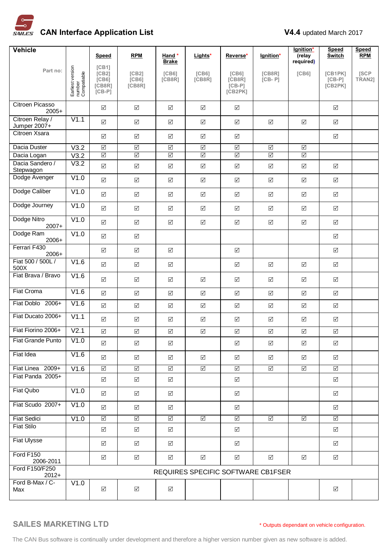

| <b>Vehicle</b>                  |                                           |                                                            |                                       |                              |                                 |                                                     |                                    | lgnition*               | <b>Speed</b>                   | <b>Speed</b>    |
|---------------------------------|-------------------------------------------|------------------------------------------------------------|---------------------------------------|------------------------------|---------------------------------|-----------------------------------------------------|------------------------------------|-------------------------|--------------------------------|-----------------|
|                                 |                                           | Speed                                                      | <b>RPM</b>                            | Hand *<br><b>Brake</b>       | Lights*                         | Reverse*                                            | lgnition*                          | (relay<br>required)     | <b>Switch</b>                  | <b>RPM</b>      |
| Part no:                        | Earliest version<br>number<br>Compatiable | [CB1]<br>[CB2]<br>[C <sub>B6</sub> ]<br>[CB8R]<br>$[CB-P]$ | [CB2]<br>[C <sub>B6</sub> ]<br>[CB8R] | [C <sub>B6</sub> ]<br>[CB8R] | [C <sub>B6</sub> ]<br>[CB8R]    | [C <sub>B6</sub> ]<br>[CB8R]<br>$[CB-P]$<br>[CB2PK] | [CB8R]<br>$[CB - P]$               | [C B 6]                 | [CB1PK]<br>$[CB-P]$<br>[CB2PK] | [SCP]<br>TRAN21 |
| Citroen Picasso<br>$2005+$      |                                           | $\Delta$                                                   | $\triangledown$                       | $\boxed{\checkmark}$         | $\overline{\mathsf{v}}$         | ☑                                                   |                                    |                         | $\Delta$                       |                 |
| Citroen Relay /<br>Jumper 2007+ | V1.1                                      | $\Delta$                                                   | $\boxed{\checkmark}$                  | ☑                            | $\Delta$                        | ☑                                                   | $\Delta$                           | $\boxed{\checkmark}$    | $\boxed{\checkmark}$           |                 |
| Citroen Xsara                   |                                           | $\Delta$                                                   | $\Delta$                              | $\boxed{\checkmark}$         | $\boxed{\checkmark}$            | $\Delta$                                            |                                    |                         | $\Delta$                       |                 |
| Dacia Duster                    | V3.2                                      | $\overline{\leq}$                                          | $\boxed{\checkmark}$                  | $\boxed{\checkmark}$         | $\boxed{\checkmark}$            | $\boxed{\checkmark}$                                | $\boxed{\checkmark}$               | $\boxed{\checkmark}$    |                                |                 |
| Dacia Logan                     | V3.2                                      | $\overline{\mathsf{M}}$                                    | $\Delta$                              | $\boxed{\checkmark}$         | $\overline{\vee}$               | $\overline{\vee}$                                   | $\overline{\vee}$                  | $\triangledown$         |                                |                 |
| Dacia Sandero /<br>Stepwagon    | V3.2                                      | $\Delta$                                                   | $\boxed{\checkmark}$                  | $\Delta$                     | $\boxed{\checkmark}$            | $\boxed{\checkmark}$                                | $\boxed{\checkmark}$               | $\boxed{\checkmark}$    | ☑                              |                 |
| Dodge Avenger                   | V1.0                                      | $\boxed{\checkmark}$                                       | $\boxed{\checkmark}$                  | $\Delta$                     | $\boxed{\checkmark}$            | $\boxed{\checkmark}$                                | $\boxed{\checkmark}$               | $\Delta$                | $\boxed{\checkmark}$           |                 |
| Dodge Caliber                   | V1.0                                      | $\boxed{\checkmark}$                                       | $\Delta$                              | $\Delta$                     | $\Delta$                        | $\boxed{\checkmark}$                                | $\sqrt{}$                          | $\Delta$                | $\boxed{\checkmark}$           |                 |
| Dodge Journey                   | $\overline{V1.0}$                         | $\Delta$                                                   | $\boxed{\checkmark}$                  | $\boxed{\checkmark}$         | $\Delta$                        | $\boxed{\checkmark}$                                | $\Delta$                           | $\boxed{\checkmark}$    | $\boxed{\checkmark}$           |                 |
| Dodge Nitro<br>$2007+$          | V1.0                                      | $\Delta$                                                   | $\Delta$                              | $\Delta$                     | $\Delta$                        | $\boxed{\checkmark}$                                | $\sqrt{}$                          | $\Delta$                | $\boxed{\checkmark}$           |                 |
| Dodge Ram<br>2006+              | V1.0                                      | $\boxed{\checkmark}$                                       | $\Delta$                              |                              |                                 |                                                     |                                    |                         | $\boxed{\checkmark}$           |                 |
| Ferrari F430<br>$2006+$         |                                           | $\boxed{\checkmark}$                                       | $\boxed{\checkmark}$                  | $\boxed{\checkmark}$         |                                 | $\boxed{\checkmark}$                                |                                    |                         | $\boxed{\checkmark}$           |                 |
| Fiat 500 / 500L /<br>500X       | V1.6                                      | $\overline{\mathsf{v}}$                                    | $\sqrt{}$                             | $\boxed{\checkmark}$         |                                 | $\Delta$                                            | $\boxed{\checkmark}$               | $\Delta$                | $\boxed{\checkmark}$           |                 |
| Fiat Brava / Bravo              | V1.6                                      | $\Delta$                                                   | $\Delta$                              | $\triangledown$              | $\Delta$                        | $\boxed{\checkmark}$                                | $\boxed{\checkmark}$               | $\boxed{\checkmark}$    | $\boxed{\checkmark}$           |                 |
| <b>Fiat Croma</b>               | V1.6                                      | $\overline{\mathsf{v}}$                                    | $\boxed{\checkmark}$                  | $\Delta$                     | $\boxed{\checkmark}$            | $\Delta$                                            | $\Delta$                           | $\Delta$                | $\Delta$                       |                 |
| Fiat Doblo 2006+                | V1.6                                      | $\overline{\mathsf{v}}$                                    | $\triangledown$                       | $\boxed{\checkmark}$         | $\Delta$                        | $\boxed{\checkmark}$                                | $\sqrt{}$                          | $\Delta$                | $\boxed{\checkmark}$           |                 |
| Fiat Ducato 2006+               | V1.1                                      | $\Delta$                                                   | $\boxed{\checkmark}$                  | $\Delta$                     | $\boxed{\checkmark}$            | $\boxed{\checkmark}$                                | $\boxed{\checkmark}$               | $\boxed{\checkmark}$    | $\boxed{\checkmark}$           |                 |
| Fiat Fiorino 2006+              | V <sub>2.1</sub>                          | $\overline{\mathsf{v}}$                                    | $\boxed{\checkmark}$                  | $\boxed{\checkmark}$         | $\overline{\mathsf{v}}$         | $\boxed{\checkmark}$                                | $\boxed{\checkmark}$               | $\Delta$                | $\Delta$                       |                 |
| Fiat Grande Punto               | V1.0                                      | $\Delta$                                                   | ☑                                     | ☑                            |                                 | ☑                                                   | $\boxed{\checkmark}$               | ☑                       | ☑                              |                 |
| Fiat Idea                       | V1.6                                      | $\sqrt{}$                                                  | $\triangledown$                       | ☑                            | $\Delta$                        | ☑                                                   | $\Delta$                           | ☑                       | ☑                              |                 |
| Fiat Linea 2009+                | V1.6                                      | $\overline{\triangleleft}$                                 | $\overline{\blacktriangleleft}$       | $\Delta$                     | $\overline{\vee}$               | $\boxed{\checkmark}$                                | $\overline{\blacktriangleleft}$    | $\overline{\Delta}$     | $\boxed{\checkmark}$           |                 |
| Fiat Panda 2005+                |                                           | $\Delta$                                                   | $\overline{\mathsf{v}}$               | $\boxed{\checkmark}$         |                                 | $\boxed{\checkmark}$                                |                                    |                         | $\boxed{\checkmark}$           |                 |
| Fiat Qubo                       | V1.0                                      | $\triangledown$                                            | $\triangledown$                       | ☑                            |                                 | ☑                                                   |                                    |                         | ☑                              |                 |
| Fiat Scudo 2007+                | V1.0                                      | $\Delta$                                                   | $\triangledown$                       | ☑                            |                                 | ☑                                                   |                                    |                         | ☑                              |                 |
| <b>Fiat Sedici</b>              | V1.0                                      | $\overline{\vee}$                                          | $\overline{\vee}$                     | $\overline{\mathsf{S}}$      | $\overline{\blacktriangleleft}$ | $\boxed{\checkmark}$                                | $\overline{\blacktriangleleft}$    | $\overline{\mathbb{S}}$ | $\triangledown$                |                 |
| <b>Fiat Stilo</b>               |                                           | $\Delta$                                                   | $\boxed{\checkmark}$                  | $\boxed{\checkmark}$         |                                 | ☑                                                   |                                    |                         | ☑                              |                 |
| Fiat Ulysse                     |                                           | $\triangledown$                                            | $\triangledown$                       | ☑                            |                                 | ☑                                                   |                                    |                         | ☑                              |                 |
| Ford F150<br>2006-2011          |                                           | $\Delta$                                                   | $\boxed{\checkmark}$                  | $\Delta$                     | $\boxed{\checkmark}$            | $\boxed{\checkmark}$                                | $\boxed{\checkmark}$               | $\boxed{\checkmark}$    | $\Delta$                       |                 |
| Ford F150/F250<br>$2012+$       |                                           |                                                            |                                       |                              |                                 |                                                     | REQUIRES SPECIFIC SOFTWARE CB1FSER |                         |                                |                 |
| Ford B-Max / C-<br>Max          | V1.0                                      | $\sqrt{}$                                                  | $\boxed{\checkmark}$                  | ☑                            |                                 |                                                     |                                    |                         | $\boxed{\checkmark}$           |                 |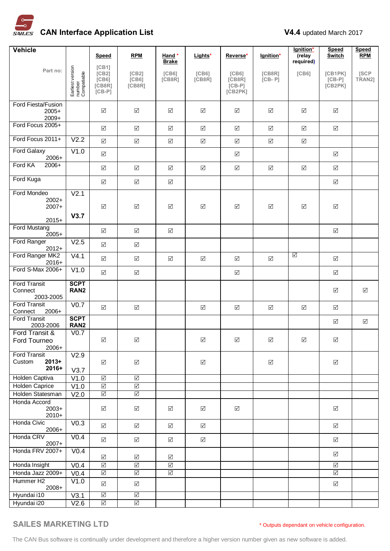

| <b>Vehicle</b>                              |                                           |                                   |                                 |                              |                              |                                          |                      | lgnition*            | <b>Speed</b>                   | <b>Speed</b>   |
|---------------------------------------------|-------------------------------------------|-----------------------------------|---------------------------------|------------------------------|------------------------------|------------------------------------------|----------------------|----------------------|--------------------------------|----------------|
|                                             |                                           | Speed                             | <b>RPM</b>                      | Hand *<br><b>Brake</b>       | Lights*                      | Reverse*                                 | lgnition*            | (relay<br>required)  | <b>Switch</b>                  | <b>RPM</b>     |
| Part no:                                    | Earliest version<br>number<br>Compatiable | [CB1]<br>[CB2]<br>[CB6]<br>[CB8R] | [CB2]<br>[CB6]<br>[CB8R]        | [C <sub>B6</sub> ]<br>[CB8R] | [C <sub>B6</sub> ]<br>[CB8R] | [C <sub>B6</sub> ]<br>[CB8R]<br>$[CB-P]$ | [CB8R]<br>$[CB - P]$ | [C B 6]              | [CB1PK]<br>$[CB-P]$<br>[CB2PK] | [SCP<br>TRAN2] |
|                                             |                                           | $[CB-P]$                          |                                 |                              |                              | [CB2PK]                                  |                      |                      |                                |                |
| Ford Fiesta/Fusion<br>$2005+$<br>$2009+$    |                                           | $\Delta$                          | $\Delta$                        | ☑                            | $\boxed{\checkmark}$         | ☑                                        | $\Delta$             | ☑                    | $\boxed{\checkmark}$           |                |
| Ford Focus 2005+                            |                                           | $\Delta$                          | $\sqrt{}$                       | $\boxed{\checkmark}$         | $\Delta$                     | $\Delta$                                 | $\sqrt{}$            | $\Delta$             | $\Delta$                       |                |
| Ford Focus 2011+                            | V2.2                                      | $\boxed{\checkmark}$              | $\Delta$                        | $\Delta$                     | $\Delta$                     | $\boxed{\checkmark}$                     | $\Delta$             | $\boxed{\checkmark}$ |                                |                |
| <b>Ford Galaxy</b><br>2006+                 | V1.0                                      | $\Delta$                          |                                 |                              |                              | $\boxed{\checkmark}$                     |                      |                      | $\boxed{\checkmark}$           |                |
| Ford KA<br>$2006+$                          |                                           | $\Delta$                          | $\boxed{\checkmark}$            | $\Delta$                     | $\Delta$                     | $\boxed{\checkmark}$                     | $\boxed{\checkmark}$ | $\boxed{\checkmark}$ | ☑                              |                |
| Ford Kuga                                   |                                           | $\sqrt{}$                         | $\boxed{\checkmark}$            | $\Delta$                     |                              |                                          |                      |                      | $\boxed{\checkmark}$           |                |
| Ford Mondeo                                 | V <sub>2.1</sub>                          |                                   |                                 |                              |                              |                                          |                      |                      |                                |                |
| $2002+$<br>$2007+$                          |                                           | $\sqrt{}$                         | $\boxed{\checkmark}$            | $\triangledown$              | $\Delta$                     | $\boxed{\checkmark}$                     | $\Delta$             | $\Delta$             | $\boxed{\checkmark}$           |                |
| $2015+$                                     | V3.7                                      |                                   |                                 |                              |                              |                                          |                      |                      |                                |                |
| Ford Mustang<br>$2005+$                     |                                           | $\Delta$                          | $\sqrt{}$                       | $\boxed{\checkmark}$         |                              |                                          |                      |                      | $\triangledown$                |                |
| Ford Ranger<br>$2012+$                      | V2.5                                      | $\Delta$                          | $\boxed{\checkmark}$            |                              |                              |                                          |                      |                      |                                |                |
| Ford Ranger MK2<br>$2016+$                  | V4.1                                      | $\Delta$                          | $\boxed{\checkmark}$            | ☑                            | $\Delta$                     | ☑                                        | $\Delta$             | ☑                    | $\boxed{\checkmark}$           |                |
| Ford S-Max 2006+                            | V1.0                                      | $\boxed{\checkmark}$              | $\Delta$                        |                              |                              | $\boxed{\checkmark}$                     |                      |                      | $\Delta$                       |                |
| <b>Ford Transit</b><br>Connect<br>2003-2005 | <b>SCPT</b><br>RAN <sub>2</sub>           |                                   |                                 |                              |                              |                                          |                      |                      | $\boxed{\checkmark}$           | ☑              |
| <b>Ford Transit</b><br>Connect<br>2006+     | $\overline{V}$ <sub>0.7</sub>             | $\triangledown$                   | $\boxed{\checkmark}$            |                              | $\boxed{\checkmark}$         | ☑                                        | $\boxed{\checkmark}$ | $\boxed{\checkmark}$ | ☑                              |                |
| <b>Ford Transit</b><br>2003-2006            | <b>SCPT</b><br>RAN <sub>2</sub>           |                                   |                                 |                              |                              |                                          |                      |                      | ☑                              | ☑              |
| Ford Transit &                              | V <sub>0.7</sub>                          | $\Delta$                          | $\boxed{\checkmark}$            |                              | $\boxed{\checkmark}$         | $\boxed{\textstyle\diagup}$              | $\sqrt{}$            | $\boxed{\checkmark}$ | $\boxed{\checkmark}$           |                |
| Ford Tourneo<br>$2006+$                     |                                           |                                   |                                 |                              |                              |                                          |                      |                      |                                |                |
| <b>Ford Transit</b><br>$2013+$<br>Custom    | V2.9                                      | $\Delta$                          | $\boxed{\checkmark}$            |                              | $\boxed{\checkmark}$         |                                          | $\boxed{\checkmark}$ |                      | $\boxed{\checkmark}$           |                |
| 2016+                                       | V3.7                                      | $\overline{\mathsf{S}}$           | $\triangledown$                 |                              |                              |                                          |                      |                      |                                |                |
| Holden Captiva<br><b>Holden Caprice</b>     | V1.0<br>V1.0                              | $\Delta$                          | $\overline{\blacktriangleleft}$ |                              |                              |                                          |                      |                      |                                |                |
| Holden Statesman                            | V <sub>2.0</sub>                          | $\triangledown$                   | $\overline{\vee}$               |                              |                              |                                          |                      |                      |                                |                |
| Honda Accord<br>$2003+$<br>$2010+$          |                                           | $\Delta$                          | $\boxed{\checkmark}$            | ☑                            | $\boxed{\checkmark}$         | $\boxed{\checkmark}$                     |                      |                      | ☑                              |                |
| Honda Civic<br>2006+                        | V <sub>0.3</sub>                          | $\blacktriangledown$              | $\Delta$                        | $\Delta$                     | $\Delta$                     |                                          |                      |                      | $\boxed{\checkmark}$           |                |
| Honda CRV<br>$2007+$                        | V <sub>0.4</sub>                          | $\overline{\mathsf{v}}$           | $\Delta$                        | $\Delta$                     | $\Delta$                     |                                          |                      |                      | $\boxed{\checkmark}$           |                |
| Honda FRV 2007+                             | V <sub>0.4</sub>                          | $\Delta$                          | $\Delta$                        | $\Delta$                     |                              |                                          |                      |                      | $\Delta$                       |                |
| Honda Insight                               | V <sub>0.4</sub>                          | $\overline{\leq}$                 | $\overline{\blacktriangleleft}$ | $\boxed{\checkmark}$         |                              |                                          |                      |                      | $\boxed{\checkmark}$           |                |
| Honda Jazz 2009+                            | V <sub>0.4</sub>                          | $\overline{\blacktriangleleft}$   | $\overline{\leq}$               | $\overline{\mathbb{S}}$      |                              |                                          |                      |                      | $\boxed{\checkmark}$           |                |
| Hummer H <sub>2</sub><br>2008+              | V1.0                                      | $\sqrt{}$                         | $\boxed{\checkmark}$            |                              |                              |                                          |                      |                      | $\Delta$                       |                |
| Hyundai i10                                 | V3.1                                      | $\overline{\Delta}$               | $\overline{\Delta}$             |                              |                              |                                          |                      |                      |                                |                |
| Hyundai i20                                 | V2.6                                      | $\overline{\leq}$                 | $\Delta$                        |                              |                              |                                          |                      |                      |                                |                |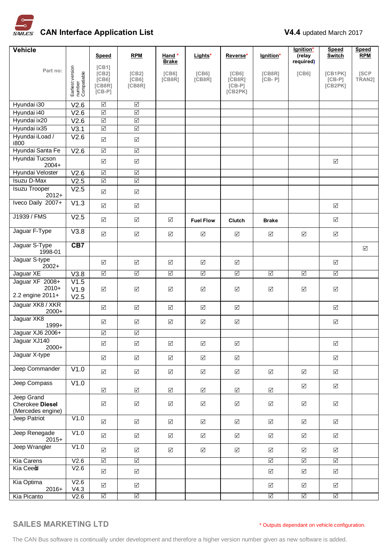

| Vehicle                                            |                                           |                                                            |                                       |                                 |                                 |                                                     |                                 | lgnition*            | <b>Speed</b>                    | <b>Speed</b>          |
|----------------------------------------------------|-------------------------------------------|------------------------------------------------------------|---------------------------------------|---------------------------------|---------------------------------|-----------------------------------------------------|---------------------------------|----------------------|---------------------------------|-----------------------|
|                                                    |                                           | Speed                                                      | <b>RPM</b>                            | Hand*<br><b>Brake</b>           | Lights*                         | Reverse*                                            | Ignition*                       | (relay<br>required)  | Switch                          | <b>RPM</b>            |
| Part no:                                           | Earliest version<br>number<br>Compatiable | [CB1]<br>[CB2]<br>[C <sub>B6</sub> ]<br>[CB8R]<br>$[CB-P]$ | [CB2]<br>[C <sub>B6</sub> ]<br>[CB8R] | [C <sub>B6</sub> ]<br>[CB8R]    | [CB6]<br>[CB8R]                 | [C <sub>B6</sub> ]<br>[CB8R]<br>$[CB-P]$<br>[CB2PK] | [CB8R]<br>$[CB - P]$            | [C <sub>B6</sub> ]   | [CB1PK]<br>$[CB-P]$<br>[CB2PK]  | <b>ISCP</b><br>TRAN2] |
| Hyundai i30                                        | V2.6                                      | $\Delta$                                                   | $\overline{\leq}$                     |                                 |                                 |                                                     |                                 |                      |                                 |                       |
| Hyundai i40                                        | V2.6                                      | $\Delta$                                                   | $\boxed{\checkmark}$                  |                                 |                                 |                                                     |                                 |                      |                                 |                       |
| Hyundai ix20                                       | V2.6                                      | $\Delta$                                                   | $\boxed{\checkmark}$                  |                                 |                                 |                                                     |                                 |                      |                                 |                       |
| Hyundai ix35                                       | V3.1                                      | $\overline{\triangleleft}$                                 | $\overline{\mathsf{S}}$               |                                 |                                 |                                                     |                                 |                      |                                 |                       |
| Hyundai iLoad /<br>i800                            | V2.6                                      | $\Delta$                                                   | $\Delta$                              |                                 |                                 |                                                     |                                 |                      |                                 |                       |
| Hyundai Santa Fe                                   | V2.6                                      | $\triangledown$                                            | $\triangledown$                       |                                 |                                 |                                                     |                                 |                      |                                 |                       |
| Hyundai Tucson<br>$2004+$                          |                                           | $\Delta$                                                   | $\boxed{\checkmark}$                  |                                 |                                 |                                                     |                                 |                      | $\boxed{\checkmark}$            |                       |
| Hyundai Veloster                                   | V2.6                                      | $\boxed{\checkmark}$                                       | $\overline{\leq}$                     |                                 |                                 |                                                     |                                 |                      |                                 |                       |
| <b>Isuzu D-Max</b>                                 | V2.5                                      | $\boxed{\checkmark}$                                       | $\boxed{\checkmark}$                  |                                 |                                 |                                                     |                                 |                      |                                 |                       |
| <b>Isuzu Trooper</b><br>$2012+$                    | V <sub>2.5</sub>                          | $\blacktriangledown$                                       | $\boxed{\checkmark}$                  |                                 |                                 |                                                     |                                 |                      |                                 |                       |
| Iveco Daily 2007+                                  | V1.3                                      | $\Delta$                                                   | $\boxed{\checkmark}$                  |                                 |                                 |                                                     |                                 |                      | $\sqrt{}$                       |                       |
| J1939 / FMS                                        | V <sub>2.5</sub>                          | $\Delta$                                                   | $\boxed{\checkmark}$                  | ☑                               | <b>Fuel Flow</b>                | Clutch                                              | <b>Brake</b>                    |                      | $\boxed{\checkmark}$            |                       |
| Jaguar F-Type                                      | V3.8                                      | $\Delta$                                                   | $\Delta$                              | $\boxed{\checkmark}$            | $\boxed{\checkmark}$            | $\boxed{\checkmark}$                                | $\boxed{\checkmark}$            | $\Delta$             | $\boxed{\checkmark}$            |                       |
| Jaguar S-Type<br>1998-01                           | CB7                                       |                                                            |                                       |                                 |                                 |                                                     |                                 |                      |                                 | $\boxed{\checkmark}$  |
| Jaguar S-type<br>$2002+$                           |                                           | $\triangledown$                                            | $\Delta$                              | ☑                               | $\boxed{\checkmark}$            | ☑                                                   |                                 |                      | ☑                               |                       |
| Jaguar XE                                          | V3.8                                      | $\overline{\blacktriangleleft}$                            | $\overline{\blacktriangleleft}$       | $\overline{\blacktriangleleft}$ | $\overline{\blacktriangleleft}$ | $\overline{\triangleleft}$                          | $\overline{\blacktriangleleft}$ | $\boxed{\checkmark}$ | $\overline{\blacktriangleleft}$ |                       |
| Jaguar XF 2008+<br>$2010+$<br>2.2 engine 2011+     | V1.5<br>V1.9<br>V2.5                      | $\sqrt{}$                                                  | $\boxed{\checkmark}$                  | $\boxed{\checkmark}$            | $\boxed{\searrow}$              | ☑                                                   | $\boxed{\searrow}$              | $\boxed{\searrow}$   | $\boxed{\blacktriangledown}$    |                       |
| Jaguar XK8 / XKR<br>$2000+$                        |                                           | $\sqrt{}$                                                  | $\boxed{\checkmark}$                  | $\sqrt{}$                       | $\sqrt{}$                       | $\boxed{\checkmark}$                                |                                 |                      | $\boxed{\checkmark}$            |                       |
| Jaguar XK8<br>1999+                                |                                           | $\Delta$                                                   | $\Delta$                              | ☑                               | $\boxed{\checkmark}$            | ☑                                                   |                                 |                      | ☑                               |                       |
| Jaguar XJ6 2006+                                   |                                           | $\Delta$                                                   | $\boxed{\checkmark}$                  |                                 |                                 |                                                     |                                 |                      |                                 |                       |
| Jaguar XJ140<br>$2000+$                            |                                           | $\sqrt{ }$                                                 | $\boxed{\checkmark}$                  | $\sqrt{}$                       | $\boxed{\checkmark}$            | ☑                                                   |                                 |                      | ☑                               |                       |
| Jaguar X-type                                      |                                           | $\boxed{\checkmark}$                                       | $\Delta$                              | $\boxed{\checkmark}$            | $\Delta$                        | $\boxed{\checkmark}$                                |                                 |                      | $\Delta$                        |                       |
| Jeep Commander                                     | V1.0                                      | $\sqrt{}$                                                  | $\Delta$                              | $\boxed{\checkmark}$            | $\Delta$                        | $\boxed{\checkmark}$                                | $\boxed{\checkmark}$            | $\boxed{\checkmark}$ | $\boxed{\checkmark}$            |                       |
| Jeep Compass                                       | V1.0                                      | $\Delta$                                                   | $\sqrt{}$                             | $\Delta$                        | $\triangledown$                 | $\boxed{\blacktriangledown}$                        | $\triangledown$                 | $\Delta$             | $\boxed{\checkmark}$            |                       |
| Jeep Grand<br>Cherokee Diesel<br>(Mercedes engine) |                                           | $\sqrt{ }$                                                 | $\Delta$                              | $\boxed{\checkmark}$            | $\Delta$                        | $\boxed{\checkmark}$                                | $\Delta$                        | $\Delta$             | $\boxed{\checkmark}$            |                       |
| Jeep Patriot                                       | V1.0                                      | $\Delta$                                                   | $\overline{\mathsf{v}}$               | $\triangledown$                 | $\sqrt{}$                       | $\triangledown$                                     | $\sqrt{}$                       | $\triangledown$      | $\Delta$                        |                       |
| Jeep Renegade<br>$2015+$                           | V1.0                                      | $\sqrt{ }$                                                 | $\boxed{\checkmark}$                  | $\Delta$                        | $\triangledown$                 | ☑                                                   | $\boxed{\checkmark}$            | $\boxed{\checkmark}$ | $\boxed{\checkmark}$            |                       |
| Jeep Wrangler                                      | V1.0                                      | $\sqrt{}$                                                  | $\Delta$                              | $\Delta$                        | $\triangledown$                 | $\boxed{\checkmark}$                                | $\boxed{\checkmark}$            | $\boxed{\checkmark}$ | $\boxed{\checkmark}$            |                       |
| Kia Carens                                         | V2.6                                      | $\triangledown$                                            | $\triangledown$                       |                                 |                                 |                                                     | $\triangledown$                 | $\triangledown$      | $\overline{\leq}$               |                       |
| Kia Ceeo                                           | V2.6                                      | $\Delta$                                                   | $\overline{\mathsf{v}}$               |                                 |                                 |                                                     | $\boxed{\checkmark}$            | $\boxed{\checkmark}$ | $\boxed{\checkmark}$            |                       |
| Kia Optima<br>$2016+$                              | V2.6<br>V4.3                              | $\sqrt{ }$                                                 | $\Delta$                              |                                 |                                 |                                                     | $\boxed{\checkmark}$            | $\Delta$             | $\boxed{\checkmark}$            |                       |
| Kia Picanto                                        | V2.6                                      | $\overline{\leq}$                                          | $\overline{\vee}$                     |                                 |                                 |                                                     | $\overline{\triangleleft}$      | $\overline{\leq}$    | $\overline{\blacktriangleleft}$ |                       |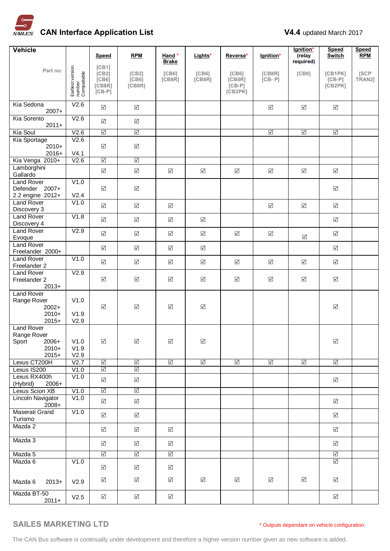

| <b>Vehicle</b>                                                             |                                           |                                                 |                                         |                              |                      |                                                     |                      | lgnition*            | <b>Speed</b>                   | <b>Speed</b>    |
|----------------------------------------------------------------------------|-------------------------------------------|-------------------------------------------------|-----------------------------------------|------------------------------|----------------------|-----------------------------------------------------|----------------------|----------------------|--------------------------------|-----------------|
|                                                                            |                                           | Speed                                           | <b>RPM</b>                              | Hand *<br><b>Brake</b>       | Lights*              | Reverse*                                            | lgnition*            | (relay<br>required)  | <b>Switch</b>                  | <b>RPM</b>      |
| Part no:                                                                   | Earliest version<br>number<br>Compatiable | [CB1]<br>[CB2]<br>[C B 6]<br>[CB8R]<br>$[CB-P]$ | [CB2]<br>[C B 6]<br>[CB8R]              | [C <sub>B6</sub> ]<br>[CB8R] | [C B 6]<br>[CB8R]    | [C <sub>B6</sub> ]<br>[CB8R]<br>$[CB-P]$<br>[CB2PK] | [CB8R]<br>$[CB - P]$ | [C <sub>B6</sub> ]   | [CB1PK]<br>$[CB-P]$<br>[CB2PK] | [SCP]<br>TRAN2] |
| Kia Sedona<br>$2007+$                                                      | V2.6                                      | $\boxed{\checkmark}$                            | $\boxed{\checkmark}$                    |                              |                      |                                                     | $\boxed{\checkmark}$ | $\sqrt{}$            | $\boxed{\checkmark}$           |                 |
| Kia Sorento<br>$2011+$                                                     | V2.6                                      | $\boxed{\checkmark}$                            | $\boxed{\checkmark}$                    |                              |                      |                                                     |                      |                      |                                |                 |
| Kia Soul                                                                   | V2.6                                      | $\triangledown$                                 | $\triangledown$                         |                              |                      |                                                     | $\triangledown$      | $\triangledown$      | $\triangledown$                |                 |
| Kia Sportage<br>$2010+$<br>$2016+$                                         | V2.6<br>V4.1                              | $\Delta$                                        | $\boxed{\checkmark}$                    |                              |                      |                                                     |                      |                      |                                |                 |
| Kia Venga 2010+                                                            | V2.6                                      | $\triangledown$                                 | $\triangledown$                         |                              |                      |                                                     |                      |                      |                                |                 |
| Lamborghini<br>Gallardo                                                    |                                           | $\blacktriangledown$                            | $\boxed{\checkmark}$                    | $\boxed{\checkmark}$         | $\boxed{\checkmark}$ | $\boxed{\checkmark}$                                | $\Delta$             | $\boxed{\checkmark}$ | $\boxed{\checkmark}$           |                 |
| <b>Land Rover</b><br>Defender 2007+                                        | V1.0                                      | $\boxed{\checkmark}$                            | $\Delta$                                |                              |                      |                                                     |                      |                      | ☑                              |                 |
| 2.2 engine 2012+<br><b>Land Rover</b>                                      | V2.4<br>V1.0                              |                                                 |                                         |                              |                      |                                                     |                      |                      |                                |                 |
| Discovery 3<br><b>Land Rover</b>                                           | V1.8                                      | $\boxed{\checkmark}$                            | $\Delta$                                | $\Delta$                     |                      |                                                     | $\boxed{\checkmark}$ | $\sqrt{}$            | $\boxed{\checkmark}$           |                 |
| Discovery 4                                                                |                                           | $\boxed{\checkmark}$                            | $\boxed{\checkmark}$                    | $\boxed{\checkmark}$         | $\boxed{\checkmark}$ |                                                     |                      |                      | $\boxed{\searrow}$             |                 |
| <b>Land Rover</b><br>Evoque                                                | V2.9                                      | $\blacktriangledown$                            | $\boxed{\checkmark}$                    | $\boxed{\checkmark}$         | $\Delta$             | $\Delta$                                            | $\Delta$             | $\Delta$             | $\Delta$                       |                 |
| <b>Land Rover</b><br>Freelander 2000+                                      |                                           | $\Delta$                                        | $\boxed{\checkmark}$                    | $\Delta$                     | $\Delta$             |                                                     |                      |                      | $\boxed{\checkmark}$           |                 |
| <b>Land Rover</b><br>Freelander 2                                          | V1.0                                      | $\Delta$                                        | $\Delta$                                | $\Delta$                     | $\boxed{\checkmark}$ | $\sqrt{}$                                           | $\sqrt{}$            | $\boxed{\checkmark}$ | $\Delta$                       |                 |
| <b>Land Rover</b><br>Freelander 2<br>$2013+$                               | V2.9                                      | $\boxed{\checkmark}$                            | $\boxed{\checkmark}$                    | $\Delta$                     | $\Delta$             | $\boxed{\checkmark}$                                | $\boxed{\checkmark}$ | $\boxed{\checkmark}$ | $\boxed{\checkmark}$           |                 |
| <b>Land Rover</b><br>Range Rover<br>$2002+$<br>$2010+$<br>$2015+$          | V1.0<br>V1.9<br>V2.9                      | $\Delta$                                        | $\Delta$                                | $\Delta$                     | $\boxed{\checkmark}$ |                                                     |                      |                      | $\boxed{\checkmark}$           |                 |
| <b>Land Rover</b><br>Range Rover<br>Sport<br>$2006+$<br>$2010+$<br>$2015+$ | V1.0<br>V1.9<br>V2.9                      | ☑                                               | $\Delta$                                | ⊻                            | ☑                    |                                                     |                      |                      | $\Delta$                       |                 |
| Lexus CT200H                                                               | V2.7                                      | $\triangledown$                                 | $\triangledown$                         | $\triangledown$              | $\triangledown$      | $\triangledown$                                     | $\triangledown$      | $\triangledown$      | $\overline{\mathbb{N}}$        |                 |
| Lexus IS200                                                                | V1.0                                      | $\sqrt{}$                                       | $\triangledown$                         |                              |                      |                                                     |                      |                      |                                |                 |
| Lexus RX400h<br>(Hybrid)<br>2006+<br>Lexus Scion XB                        | V1.0<br>V1.0                              | $\boxed{\checkmark}$<br>$\triangledown$         | $\boxed{\checkmark}$<br>$\triangledown$ |                              |                      |                                                     |                      |                      | $\boxed{\checkmark}$           |                 |
| Lincoln Navigator<br>$2008+$                                               | V1.0                                      | $\sqrt{ }$                                      | $\sqrt{}$                               |                              |                      |                                                     |                      |                      | ☑                              |                 |
| Maserati Grand<br>Turismo                                                  | $\overline{V1}.0$                         | $\boxed{\checkmark}$                            | $\boxed{\checkmark}$                    |                              |                      |                                                     |                      |                      | ☑                              |                 |
| Mazda 2                                                                    |                                           | $\boxed{\checkmark}$                            | $\boxed{\checkmark}$                    | ☑                            |                      |                                                     |                      |                      | $\boxed{\checkmark}$           |                 |
| Mazda 3                                                                    |                                           | $\boxed{\checkmark}$                            | $\Delta$                                | $\Delta$                     |                      |                                                     |                      |                      | $\Delta$                       |                 |
| Mazda 5                                                                    |                                           | $\triangledown$                                 | $\triangledown$                         | $\triangledown$              |                      |                                                     |                      |                      | $\triangledown$                |                 |
| Mazda 6                                                                    | V1.0                                      | ☑                                               | $\boxed{\checkmark}$                    | ☑                            |                      |                                                     |                      |                      | $\triangledown$                |                 |
| Mazda 6<br>$2013+$                                                         | V2.9                                      | $\boxed{\checkmark}$                            | $\boxed{\checkmark}$                    | ☑                            | ☑                    | ☑                                                   | ☑                    | $\boxed{\checkmark}$ | ☑                              |                 |
| Mazda BT-50<br>$2011+$                                                     | V2.5                                      | $\overline{\mathsf{v}}$                         | $\boxed{\checkmark}$                    | $\boxed{\checkmark}$         |                      |                                                     |                      |                      | $\boxed{\checkmark}$           |                 |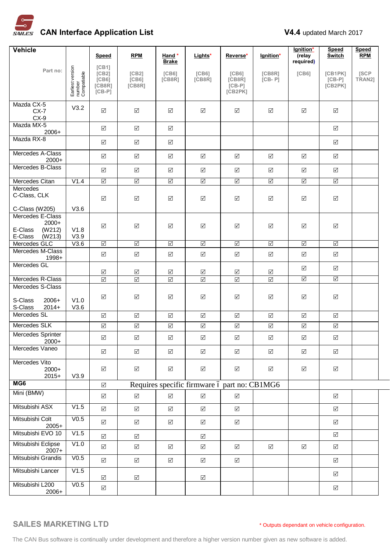

| <b>Vehicle</b>                                               |                                           |                                                            |                          |                              |                                              |                                                     |                      | lgnition*               | <b>Speed</b>                   | <b>Speed</b>   |
|--------------------------------------------------------------|-------------------------------------------|------------------------------------------------------------|--------------------------|------------------------------|----------------------------------------------|-----------------------------------------------------|----------------------|-------------------------|--------------------------------|----------------|
|                                                              |                                           | Speed                                                      | <b>RPM</b>               | Hand*<br><b>Brake</b>        | Lights*                                      | Reverse*                                            | lgnition*            | (relay<br>required)     | <b>Switch</b>                  | <b>RPM</b>     |
| Part no:                                                     | Earliest version<br>number<br>Compatiable | [CB1]<br>[CB2]<br>[C <sub>B6</sub> ]<br>[CB8R]<br>$[CB-P]$ | [CB2]<br>[CB6]<br>[CB8R] | [C <sub>B6</sub> ]<br>[CB8R] | [C <sub>B6</sub> ]<br>[CB8R]                 | [C <sub>B6</sub> ]<br>[CB8R]<br>$[CB-P]$<br>[CB2PK] | [CB8R]<br>$[CB - P]$ | [C <sub>B6</sub> ]      | [CB1PK]<br>$[CB-P]$<br>[CB2PK] | [SCP<br>TRAN2] |
| Mazda CX-5                                                   |                                           |                                                            |                          |                              |                                              |                                                     |                      |                         |                                |                |
| $CX-7$<br>$CX-9$                                             | V3.2                                      | $\boxed{\checkmark}$                                       | $\sqrt{}$                | ☑                            | $\boxed{\checkmark}$                         | ☑                                                   | $\Delta$             | ☑                       | $\Delta$                       |                |
| Mazda MX-5<br>$2006+$                                        |                                           | $\Delta$                                                   | $\triangledown$          | $\boxed{\checkmark}$         |                                              |                                                     |                      |                         | ☑                              |                |
| Mazda RX-8                                                   |                                           | $\Delta$                                                   | $\Delta$                 | $\Delta$                     |                                              |                                                     |                      |                         | ☑                              |                |
| Mercedes A-Class<br>2000+                                    |                                           | $\Delta$                                                   | $\Delta$                 | $\boxed{\checkmark}$         | $\Delta$                                     | $\Delta$                                            | $\Delta$             | $\Delta$                | $\Delta$                       |                |
| Mercedes B-Class                                             |                                           | $\Delta$                                                   | $\Delta$                 | $\boxed{\checkmark}$         | $\Delta$                                     | $\sqrt{ }$                                          | $\Delta$             | $\Delta$                | $\boxed{\checkmark}$           |                |
| Mercedes Citan                                               | V1.4                                      | $\triangledown$                                            | $\triangledown$          | $\triangledown$              | $\triangledown$                              | $\triangledown$                                     | $\triangledown$      | $\triangledown$         | $\triangledown$                |                |
| <b>Mercedes</b><br>C-Class, CLK                              |                                           | $\Delta$                                                   | $\Delta$                 | $\boxed{\checkmark}$         | $\boxed{\checkmark}$                         | $\Delta$                                            | $\boxed{\checkmark}$ | $\boxed{\checkmark}$    | $\Delta$                       |                |
| C-Class (W205)<br>Mercedes E-Class                           | V3.6                                      |                                                            |                          |                              |                                              |                                                     |                      |                         |                                |                |
| $2000+$<br>E-Class<br>(W212)<br>E-Class<br>(W213)            | V1.8<br>V3.9                              | $\Delta$                                                   | $\boxed{\checkmark}$     | $\sqrt{}$                    | $\boxed{\checkmark}$                         | $\Delta$                                            | $\boxed{\checkmark}$ | $\boxed{\searrow}$      | $\boxed{\checkmark}$           |                |
| Mercedes GLC                                                 | V3.6                                      | $\Delta$                                                   | $\triangledown$          | $\triangledown$              | $\sqrt{}$                                    | $\triangledown$                                     | $\sqrt{}$            | $\triangledown$         | $\overline{\mathbb{S}}$        |                |
| Mercedes M-Class<br>$1998+$                                  |                                           | $\Delta$                                                   | $\Delta$                 | $\Delta$                     | $\boxed{\checkmark}$                         | $\boxed{\checkmark}$                                | $\boxed{\checkmark}$ | $\boxed{\checkmark}$    | ☑                              |                |
| Mercedes GL                                                  |                                           | ☑                                                          | $\Delta$                 | ☑                            | ☑                                            | ☑                                                   | ☑                    | $\Delta$                | $\boxed{\checkmark}$           |                |
| Mercedes R-Class                                             |                                           | $\boxed{\checkmark}$                                       | $\boxed{\checkmark}$     | $\boxed{\checkmark}$         | $\boxed{\checkmark}$                         | $\boxed{\checkmark}$                                | $\boxed{\checkmark}$ | $\overline{\mathsf{S}}$ | $\overline{\Delta}$            |                |
| Mercedes S-Class<br>S-Class<br>$2006+$<br>S-Class<br>$2014+$ | V1.0<br>V3.6                              | $\triangledown$                                            | $\triangledown$          | $\sqrt{}$                    | $\boxed{\checkmark}$                         | $\sqrt{ }$                                          | $\sqrt{}$            | $\boxed{\checkmark}$    | $\Delta$                       |                |
| Mercedes SL                                                  |                                           | $\triangledown$                                            | $\Delta$                 | $\Delta$                     | $\Delta$                                     | $\boxed{\checkmark}$                                | $\sqrt{}$            | $\triangledown$         | $\boxed{\checkmark}$           |                |
| Mercedes SLK                                                 |                                           | $\boxed{\checkmark}$                                       | $\blacktriangledown$     | $\blacktriangledown$         | $\boxed{\checkmark}$                         | $\boxed{\checkmark}$                                | $\boxed{\checkmark}$ | $\Delta$                | $\boxed{\checkmark}$           |                |
| Mercedes Sprinter<br>$2000+$                                 |                                           | $\Delta$                                                   | $\Delta$                 | $\boxed{\checkmark}$         | $\Delta$                                     | $\sqrt{ }$                                          | $\sqrt{}$            | $\boxed{\checkmark}$    | $\Delta$                       |                |
| Mercedes Vaneo                                               |                                           | $\sqrt{}$                                                  | $\sqrt{}$                | $\Delta$                     | $\boxed{\checkmark}$                         | $\boxed{\checkmark}$                                | $\Delta$             | $\boxed{\checkmark}$    | $\Delta$                       |                |
| Mercedes Vito<br>$2000+$<br>$2015+$                          | V3.9                                      | $\boxed{\checkmark}$                                       | $\triangledown$          | ☑                            | $\boxed{\checkmark}$                         | $\Delta$                                            | $\boxed{\checkmark}$ | ☑                       | ☑                              |                |
| MG <sub>6</sub>                                              |                                           | $\boxed{\checkmark}$                                       |                          |                              | Requires specific firmware ó part no: CB1MG6 |                                                     |                      |                         |                                |                |
| Mini (BMW)                                                   |                                           | $\boxed{\checkmark}$                                       | $\sqrt{}$                | $\Delta$                     | $\Delta$                                     | $\boxed{\checkmark}$                                |                      |                         | ☑                              |                |
| Mitsubishi ASX                                               | V1.5                                      | $\Delta$                                                   | $\Delta$                 | $\sqrt{}$                    | $\boxed{\checkmark}$                         | $\boxed{\checkmark}$                                |                      |                         | $\boxed{\checkmark}$           |                |
| Mitsubishi Colt<br>$2005+$                                   | V <sub>0.5</sub>                          | $\sqrt{}$                                                  | $\Delta$                 | $\Delta$                     | $\Delta$                                     | $\boxed{\checkmark}$                                |                      |                         | $\sqrt{ }$                     |                |
| Mitsubishi EVO 10                                            | V1.5                                      | $\boxed{\checkmark}$                                       | $\Delta$                 |                              | $\boxed{\checkmark}$                         |                                                     |                      |                         | $\boxed{\checkmark}$           |                |
| Mitsubishi Eclipse<br>$2007+$                                | V1.0                                      | $\boxed{\checkmark}$                                       | $\Delta$                 | $\Delta$                     | $\boxed{\checkmark}$                         | $\boxed{\checkmark}$                                | $\Delta$             | $\Delta$                | $\boxed{\checkmark}$           |                |
| Mitsubishi Grandis                                           | V <sub>0.5</sub>                          | $\Delta$                                                   | $\Delta$                 | $\Delta$                     | $\Delta$                                     | $\boxed{\checkmark}$                                |                      |                         | $\boxed{\checkmark}$           |                |
| Mitsubishi Lancer                                            | V1.5                                      | $\Delta$                                                   | $\Delta$                 |                              | $\boxed{\checkmark}$                         |                                                     |                      |                         | $\boxed{\checkmark}$           |                |
| Mitsubishi L200<br>2006+                                     | V <sub>0.5</sub>                          | $\boxed{\checkmark}$                                       |                          |                              |                                              |                                                     |                      |                         | $\boxed{\checkmark}$           |                |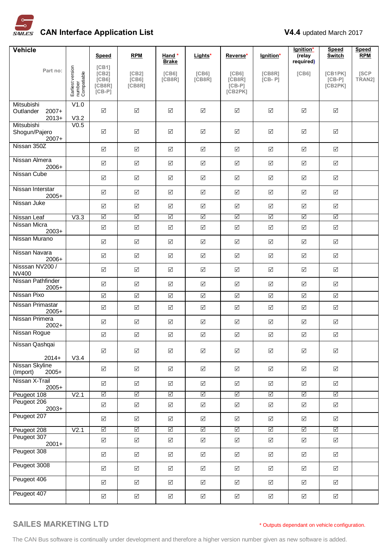

| Vehicle                                       |                                           | Speed                                             | <b>RPM</b>                            | Hand *                       | Lights*                      | Reverse*                                            | lgnition*            | lgnition*<br>(relay  | <b>Speed</b><br><b>Switch</b>  | <b>Speed</b><br><b>RPM</b> |
|-----------------------------------------------|-------------------------------------------|---------------------------------------------------|---------------------------------------|------------------------------|------------------------------|-----------------------------------------------------|----------------------|----------------------|--------------------------------|----------------------------|
|                                               |                                           | [CB1]                                             |                                       | <b>Brake</b>                 |                              |                                                     |                      | required)            |                                |                            |
| Part no:                                      | Earliest version<br>number<br>Compatiable | [CB2]<br>[C <sub>B6</sub> ]<br>[CB8R]<br>$[CB-P]$ | [CB2]<br>[C <sub>B6</sub> ]<br>[CB8R] | [C <sub>B6</sub> ]<br>[CB8R] | [C <sub>B6</sub> ]<br>[CB8R] | [C <sub>B6</sub> ]<br>[CB8R]<br>$[CB-P]$<br>[CB2PK] | [CB8R]<br>$[CB - P]$ | [C <sub>B6</sub> ]   | [CB1PK]<br>$[CB-P]$<br>[CB2PK] | [SCP]<br>TRAN2]            |
| Mitsubishi<br>Outlander<br>$2007+$<br>$2013+$ | V1.0<br>V3.2                              | $\Delta$                                          | $\Delta$                              | ☑                            | $\boxed{\checkmark}$         | ☑                                                   | $\sqrt{ }$           | $\Delta$             | $\boxed{\checkmark}$           |                            |
| Mitsubishi<br>Shogun/Pajero<br>$2007+$        | V <sub>0.5</sub>                          | $\triangledown$                                   | $\Delta$                              | $\Delta$                     | $\sqrt{}$                    | $\Delta$                                            | $\Delta$             | $\Delta$             | $\Delta$                       |                            |
| Nissan 350Z                                   |                                           | $\boxed{\checkmark}$                              | $\sqrt{ }$                            | $\sqrt{ }$                   | $\sqrt{}$                    | $\boxed{\checkmark}$                                | $\boxed{\checkmark}$ | $\Delta$             | $\Delta$                       |                            |
| Nissan Almera<br>2006+                        |                                           | $\boxed{\checkmark}$                              | $\Delta$                              | $\sqrt{ }$                   | $\boxed{\checkmark}$         | $\Delta$                                            | $\boxed{\checkmark}$ | $\boxed{\checkmark}$ | $\Delta$                       |                            |
| <b>Nissan Cube</b>                            |                                           | $\Delta$                                          | $\Delta$                              | $\Delta$                     | $\sqrt{}$                    | $\Delta$                                            | $\boxed{\checkmark}$ | $\boxed{\checkmark}$ | $\Delta$                       |                            |
| Nissan Interstar<br>$2005+$                   |                                           | $\Delta$                                          | $\boxed{\checkmark}$                  | $\Delta$                     | $\sqrt{}$                    | $\boxed{\checkmark}$                                | $\boxed{\checkmark}$ | $\Delta$             | $\boxed{\checkmark}$           |                            |
| Nissan Juke                                   |                                           | $\triangledown$                                   | $\Delta$                              | $\Delta$                     | $\sqrt{}$                    | $\Delta$                                            | $\Delta$             | $\Delta$             | $\Delta$                       |                            |
| Nissan Leaf                                   | V3.3                                      | $\triangledown$                                   | $\triangledown$                       | $\triangledown$              | $\overline{\mathbb{S}}$      | $\triangledown$                                     | $\triangledown$      | $\triangledown$      | $\triangledown$                |                            |
| Nissan Micra<br>$2003+$                       |                                           | $\boxed{\checkmark}$                              | $\boxed{\checkmark}$                  | $\boxed{\checkmark}$         | $\boxed{\checkmark}$         | $\boxed{\checkmark}$                                | $\boxed{\checkmark}$ | $\boxed{\checkmark}$ | $\boxed{\checkmark}$           |                            |
| Nissan Murano                                 |                                           | $\triangledown$                                   | $\Delta$                              | $\sqrt{ }$                   | $\boxed{\checkmark}$         | $\Delta$                                            | $\Delta$             | $\Delta$             | $\Delta$                       |                            |
| Nissan Navara<br>$2006+$                      |                                           | $\Delta$                                          | $\sqrt{}$                             | $\Delta$                     | $\Delta$                     | $\boxed{\checkmark}$                                | $\boxed{\checkmark}$ | $\Delta$             | $\Delta$                       |                            |
| Nisssan NV200 /<br><b>NV400</b>               |                                           | $\Delta$                                          | $\triangledown$                       | $\sqrt{ }$                   | $\sqrt{}$                    | $\boxed{\checkmark}$                                | $\Delta$             | $\Delta$             | $\Delta$                       |                            |
| Nissan Pathfinder<br>$2005+$                  |                                           | $\Delta$                                          | $\Delta$                              | ☑                            | $\sqrt{}$                    | ☑                                                   | $\Delta$             | $\Delta$             | ☑                              |                            |
| Nissan Pixo                                   |                                           | $\Delta$                                          | $\boxed{\checkmark}$                  | $\boxed{\checkmark}$         | $\boxed{\checkmark}$         | $\boxed{\checkmark}$                                | $\boxed{\checkmark}$ | $\boxed{\checkmark}$ | $\boxed{\checkmark}$           |                            |
| Nissan Primastar<br>$2005+$                   |                                           | $\Delta$                                          | $\Delta$                              | $\Delta$                     | $\sqrt{}$                    | ☑                                                   | $\Delta$             | $\Delta$             | $\Delta$                       |                            |
| Nissan Primera<br>$2002+$                     |                                           | $\boxed{\checkmark}$                              | $\boxed{\checkmark}$                  | $\boxed{\checkmark}$         | $\sqrt{}$                    | ☑                                                   | $\Delta$             | $\boxed{\checkmark}$ | ☑                              |                            |
| Nissan Rogue                                  |                                           | $\boxed{\checkmark}$                              | $\Delta$                              | $\Delta$                     | $\boxed{\checkmark}$         | $\boxed{\checkmark}$                                | $\Delta$             | $\boxed{\checkmark}$ | $\boxed{\checkmark}$           |                            |
| Nissan Qashqai                                |                                           | $\Delta$                                          | $\boxed{\checkmark}$                  | $\boxed{\checkmark}$         | $\Delta$                     | $\boxed{\checkmark}$                                | $\Delta$             | $\boxed{\checkmark}$ | $\boxed{\checkmark}$           |                            |
| $2014+$<br>Nissan Skyline                     | V3.4                                      |                                                   |                                       |                              |                              |                                                     |                      |                      |                                |                            |
| $2005+$<br>(Import)                           |                                           | $\Delta$                                          | $\triangledown$                       | $\boxed{\checkmark}$         | $\sqrt{}$                    | $\boxed{\checkmark}$                                | $\Delta$             | $\triangledown$      | $\boxed{\checkmark}$           |                            |
| Nissan X-Trail<br>$2005+$                     |                                           | $\Delta$                                          | $\triangledown$                       | $\boxed{\checkmark}$         | $\sqrt{}$                    | $\Delta$                                            | $\Delta$             | $\triangledown$      | $\boxed{\checkmark}$           |                            |
| Peugeot 108                                   | V <sub>2.1</sub>                          | $\triangledown$                                   | $\triangledown$                       | $\boxed{\checkmark}$         | $\Delta$                     | $\boxed{\checkmark}$                                | $\triangledown$      | $\triangledown$      | $\triangledown$                |                            |
| Peugeot 206<br>$2003+$                        |                                           | $\boxed{\checkmark}$                              | $\sqrt{}$                             | $\boxed{\checkmark}$         | $\Delta$                     | $\boxed{\checkmark}$                                | $\Delta$             | $\boxed{\checkmark}$ | $\boxed{\checkmark}$           |                            |
| Peugeot 207                                   |                                           | $\triangledown$                                   | $\sqrt{}$                             | $\boxed{\checkmark}$         | $\sqrt{ }$                   | $\Delta$                                            | $\Delta$             | $\sqrt{ }$           | $\triangledown$                |                            |
| Peugeot 208                                   | V <sub>2.1</sub>                          | $\Delta$                                          | $\Delta$                              | $\boxed{\checkmark}$         | $\Delta$                     | $\boxed{\checkmark}$                                | $\triangledown$      | $\overline{\vee}$    | $\overline{\mathbb{N}}$        |                            |
| Peugeot 307<br>$2001+$                        |                                           | $\Delta$                                          | $\sqrt{}$                             | $\boxed{\checkmark}$         | $\sqrt{}$                    | $\boxed{\checkmark}$                                | $\sqrt{}$            | $\sqrt{}$            | $\boxed{\checkmark}$           |                            |
| Peugeot 308                                   |                                           | $\Delta$                                          | $\triangledown$                       | $\boxed{\checkmark}$         | $\sqrt{}$                    | $\Delta$                                            | $\Delta$             | $\triangledown$      | $\boxed{\checkmark}$           |                            |
| Peugeot 3008                                  |                                           | $\Delta$                                          | $\triangledown$                       | $\boxed{\checkmark}$         | $\sqrt{}$                    | $\boxed{\checkmark}$                                | $\sqrt{ }$           | $\triangledown$      | $\boxed{\checkmark}$           |                            |
| Peugeot 406                                   |                                           | $\Delta$                                          | $\sqrt{}$                             | $\boxed{\checkmark}$         | $\sqrt{ }$                   | $\Delta$                                            | $\Delta$             | $\triangledown$      | $\boxed{\checkmark}$           |                            |
| Peugeot 407                                   |                                           | $\boxed{\checkmark}$                              | $\sqrt{}$                             | $\boxed{\checkmark}$         | $\Delta$                     | $\boxed{\checkmark}$                                | $\boxed{\checkmark}$ | $\sqrt{}$            | $\boxed{\checkmark}$           |                            |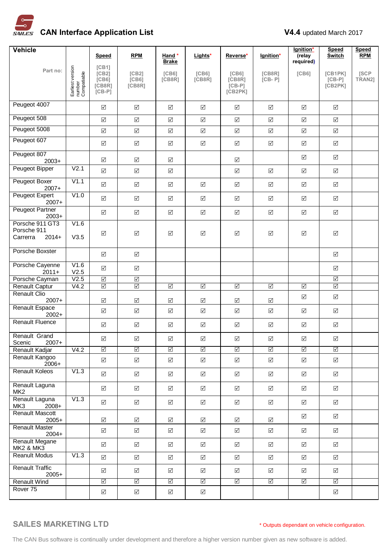

| <b>Vehicle</b>                                        |                                           | Speed                                             | <b>RPM</b>               | Hand*                        | Lights*                      | Reverse*                                            | lgnition*                       | lgnition*<br>(relay     | <b>Speed</b><br><b>Switch</b>  | <b>Speed</b><br><b>RPM</b> |
|-------------------------------------------------------|-------------------------------------------|---------------------------------------------------|--------------------------|------------------------------|------------------------------|-----------------------------------------------------|---------------------------------|-------------------------|--------------------------------|----------------------------|
| Part no:                                              |                                           | [CB1]                                             |                          | <b>Brake</b>                 |                              |                                                     |                                 | required)               |                                |                            |
|                                                       | Earliest version<br>number<br>Compatiable | [CB2]<br>[C <sub>B6</sub> ]<br>[CB8R]<br>$[CB-P]$ | [CB2]<br>[CB6]<br>[CB8R] | [C <sub>B6</sub> ]<br>[CB8R] | [C <sub>B6</sub> ]<br>[CB8R] | [C <sub>B6</sub> ]<br>[CB8R]<br>$[CB-P]$<br>[CB2PK] | [CB8R]<br>$[CB - P]$            | [C <sub>6</sub> ]       | [CB1PK]<br>$[CB-P]$<br>[CB2PK] | [SCP<br>TRAN2]             |
| Peugeot 4007                                          |                                           | $\boxed{\checkmark}$                              | $\Delta$                 | $\sqrt{ }$                   | $\boxed{\checkmark}$         | ☑                                                   | $\boxed{\checkmark}$            | $\Delta$                | ☑                              |                            |
| Peugeot 508                                           |                                           | $\boxed{\checkmark}$                              | $\sqrt{}$                | $\boxed{\checkmark}$         | $\overline{\mathsf{v}}$      | $\Delta$                                            | $\Delta$                        | $\sqrt{}$               | $\triangledown$                |                            |
| Peugeot 5008                                          |                                           | $\blacktriangledown$                              | $\Delta$                 | $\boxed{\checkmark}$         | $\sqrt{}$                    | $\Delta$                                            | $\boxed{\checkmark}$            | $\Delta$                | $\boxed{\checkmark}$           |                            |
| Peugeot 607                                           |                                           | $\boxed{\checkmark}$                              | $\Delta$                 | $\boxed{\checkmark}$         | $\sqrt{}$                    | $\boxed{\checkmark}$                                | $\Delta$                        | $\boxed{\checkmark}$    | $\boxed{\checkmark}$           |                            |
| Peugeot 807<br>$2003+$                                |                                           | $\Delta$                                          | $\sqrt{}$                | $\sqrt{ }$                   |                              | $\sqrt{}$                                           |                                 | $\boxed{\checkmark}$    | ☑                              |                            |
| Peugeot Bipper                                        | V <sub>2.1</sub>                          | $\blacktriangledown$                              | $\overline{\mathsf{v}}$  | $\boxed{\checkmark}$         |                              | $\Delta$                                            | $\Delta$                        | $\triangledown$         | $\Delta$                       |                            |
| <b>Peugeot Boxer</b><br>$2007+$                       | V1.1                                      | $\blacktriangledown$                              | $\Delta$                 | $\boxed{\checkmark}$         | $\sqrt{}$                    | $\boxed{\checkmark}$                                | $\Delta$                        | $\boxed{\checkmark}$    | $\boxed{\checkmark}$           |                            |
| Peugeot Expert<br>$2007+$                             | V1.0                                      | $\boxed{\checkmark}$                              | $\Delta$                 | $\boxed{\checkmark}$         | $\boxed{\checkmark}$         | $\boxed{\checkmark}$                                | $\Delta$                        | $\boxed{\checkmark}$    | $\boxed{\checkmark}$           |                            |
| Peugeot Partner<br>$2003+$                            |                                           | $\Delta$                                          | $\boxed{\checkmark}$     | $\boxed{\checkmark}$         | $\boxed{\checkmark}$         | $\boxed{\checkmark}$                                | $\boxed{\checkmark}$            | $\boxed{\checkmark}$    | $\boxed{\checkmark}$           |                            |
| Porsche 911 GT3<br>Porsche 911<br>$2014+$<br>Carrerra | V1.6<br>V3.5                              | $\boxed{\checkmark}$                              | $\boxed{\checkmark}$     | $\Delta$                     | $\boxed{\searrow}$           | $\boxed{\checkmark}$                                | $\boxed{\checkmark}$            | $\boxed{\checkmark}$    | $\boxed{\checkmark}$           |                            |
| Porsche Boxster                                       |                                           | $\Delta$                                          | $\Delta$                 |                              |                              |                                                     |                                 |                         | $\sqrt{}$                      |                            |
| Porsche Cayenne<br>$2011+$                            | V1.6<br>V2.5                              | $\Delta$                                          | $\boxed{\checkmark}$     |                              |                              |                                                     |                                 |                         | $\boxed{\checkmark}$           |                            |
| Porsche Cayman                                        | V2.5                                      | $\overline{\blacktriangleleft}$                   | $\overline{\leq}$        |                              |                              |                                                     |                                 |                         | $\overline{\leq}$              |                            |
| Renault Captur<br><b>Renault Clio</b>                 | V4.2                                      | $\triangledown$                                   | $\triangledown$          | $\overline{\Delta}$          | $\overline{\leq}$            | $\overline{\blacktriangleleft}$                     | $\overline{\blacktriangleleft}$ | $\overline{\mathbb{S}}$ | $\overline{\leq}$              |                            |
| $2007+$                                               |                                           | $\boxed{\checkmark}$                              | $\sqrt{}$                | $\Delta$                     | $\boxed{\checkmark}$         | $\sqrt{}$                                           | $\boxed{\checkmark}$            | $\boxed{\checkmark}$    | $\boxed{\checkmark}$           |                            |
| Renault Espace<br>$2002+$                             |                                           | $\boxed{\checkmark}$                              | $\Delta$                 | $\boxed{\checkmark}$         | $\Delta$                     | $\boxed{\checkmark}$                                | $\boxed{\checkmark}$            | $\boxed{\checkmark}$    | $\boxed{\checkmark}$           |                            |
| <b>Renault Fluence</b>                                |                                           | $\boxed{\checkmark}$                              | $\boxed{\checkmark}$     | $\boxed{\checkmark}$         | $\boxed{\checkmark}$         | $\boxed{\checkmark}$                                | $\boxed{\checkmark}$            | $\Delta$                | $\boxed{\checkmark}$           |                            |
| Renault Grand<br>Scenic<br>$2007+$                    |                                           | $\boxed{\checkmark}$                              | $\Delta$                 | $\boxed{\checkmark}$         | $\boxed{\checkmark}$         | $\boxed{\checkmark}$                                | $\Delta$                        | $\blacktriangledown$    | $\boxed{\checkmark}$           |                            |
| Renault Kadjar<br>Renault Kangoo                      | $\overline{\text{V4.2}}$                  | $\triangledown$                                   | $\triangledown$          | $\overline{\leq}$            | $\boxed{\checkmark}$         | $\triangledown$                                     | $\overline{\leq}$               | $\boxed{\checkmark}$    | $\Delta$                       |                            |
| $2006+$                                               |                                           | $\blacktriangledown$                              | $\Delta$                 | $\boxed{\checkmark}$         | $\boxed{\checkmark}$         | $\boxed{\checkmark}$                                | $\Delta$                        | $\sqrt{}$               | $\sqrt{}$                      |                            |
| <b>Renault Koleos</b>                                 | V1.3                                      | $\Delta$                                          | $\sqrt{}$                | $\sqrt{ }$                   | $\boxed{\checkmark}$         | $\boxed{\checkmark}$                                | $\Delta$                        | $\triangledown$         | $\triangledown$                |                            |
| Renault Laguna<br>MK <sub>2</sub>                     |                                           | $\boxed{\checkmark}$                              | $\boxed{\checkmark}$     | $\boxed{\checkmark}$         | $\boxed{\checkmark}$         | $\boxed{\checkmark}$                                | $\Delta$                        | $\boxed{\checkmark}$    | $\sqrt{}$                      |                            |
| Renault Laguna<br>MK3<br>2008+                        | V1.3                                      | $\Delta$                                          | $\overline{\mathsf{v}}$  | $\boxed{\checkmark}$         | $\sqrt{ }$                   | $\boxed{\checkmark}$                                | $\Delta$                        | $\boxed{\checkmark}$    | $\triangledown$                |                            |
| <b>Renault Mascott</b><br>$2005+$                     |                                           | $\boxed{\checkmark}$                              | $\Delta$                 | $\boxed{\checkmark}$         | ☑                            | ☑                                                   | ☑                               | $\boxed{\checkmark}$    | $\boxed{\checkmark}$           |                            |
| <b>Renault Master</b><br>$2004+$                      |                                           | $\boxed{\checkmark}$                              | $\Delta$                 | $\boxed{\checkmark}$         | $\sqrt{}$                    | $\Delta$                                            | $\Delta$                        | $\boxed{\checkmark}$    | $\Delta$                       |                            |
| Renault Megane<br><b>MK2 &amp; MK3</b>                |                                           | $\triangledown$                                   | $\boxed{\checkmark}$     | ☑                            | $\triangledown$              | ☑                                                   | $\Delta$                        | $\triangledown$         | $\triangledown$                |                            |
| <b>Reanult Modus</b>                                  | V1.3                                      | $\overline{\mathsf{v}}$                           | $\blacktriangledown$     | $\boxed{\checkmark}$         | $\sqrt{}$                    | $\boxed{\checkmark}$                                | $\sqrt{}$                       | $\Delta$                | $\triangledown$                |                            |
| <b>Renault Traffic</b><br>$2005+$                     |                                           | $\boxed{\checkmark}$                              | $\sqrt{}$                | ☑                            | $\boxed{\checkmark}$         | $\boxed{\checkmark}$                                | $\triangledown$                 | $\boxed{\checkmark}$    | ☑                              |                            |
| <b>Renault Wind</b>                                   |                                           | $\triangledown$                                   | $\triangledown$          | $\triangledown$              | $\triangledown$              | $\overline{\leq}$                                   | $\triangledown$                 | ☑                       | $\Delta$                       |                            |
| Rover 75                                              |                                           | $\boxed{\checkmark}$                              | $\Delta$                 | $\boxed{\checkmark}$         | $\boxed{\checkmark}$         |                                                     |                                 |                         | ☑                              |                            |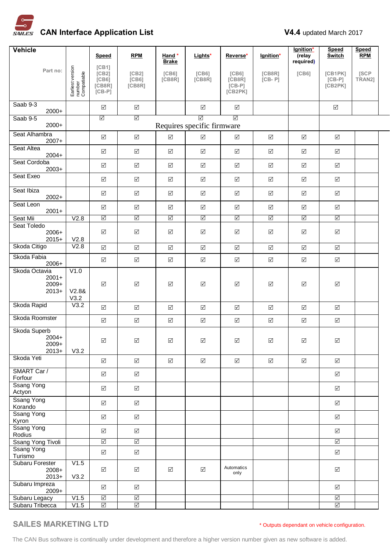

| Vehicle                                        |                                           | Speed                                                      | <b>RPM</b>                                         | Hand *<br><b>Brake</b>       | Lights*                         | Reverse*                                            | lgnition*            | lgnition*<br>(relay<br>required) | <b>Speed</b><br><b>Switch</b>        | <b>Speed</b><br><b>RPM</b> |  |
|------------------------------------------------|-------------------------------------------|------------------------------------------------------------|----------------------------------------------------|------------------------------|---------------------------------|-----------------------------------------------------|----------------------|----------------------------------|--------------------------------------|----------------------------|--|
| Part no:                                       | Earliest version<br>number<br>Compatiable | [CB1]<br>[CB2]<br>[C <sub>B6</sub> ]<br>[CB8R]<br>$[CB-P]$ | [CB2]<br>[CB6]<br>[CB8R]                           | [C <sub>B6</sub> ]<br>[CB8R] | [C <sub>B6</sub> ]<br>[CB8R]    | [C <sub>B6</sub> ]<br>[CB8R]<br>$[CB-P]$<br>[CB2PK] | [CB8R]<br>$[CB - P]$ | [C <sub>B6</sub> ]               | [CB1PK]<br>$[CB-P]$<br>[CB2PK]       | [SCP<br>TRAN2]             |  |
| Saab 9-3<br>$2000+$                            |                                           | $\boxed{\checkmark}$                                       | $\Delta$                                           |                              | $\boxed{\checkmark}$            | $\Delta$                                            |                      |                                  | $\Delta$                             |                            |  |
| Saab 9-5<br>$2000+$                            |                                           | ☑                                                          | ☑                                                  |                              | ☑<br>Requires specific firmware | $\Delta$                                            |                      |                                  |                                      |                            |  |
| Seat Alhambra<br>$2007+$                       |                                           | $\Delta$                                                   | $\boxed{\checkmark}$                               | $\boxed{\checkmark}$         | $\boxed{\checkmark}$            | ☑                                                   | $\boxed{\checkmark}$ | $\boxed{\checkmark}$             | $\Delta$                             |                            |  |
| Seat Altea<br>$2004+$                          |                                           | $\Delta$                                                   | $\boxed{\checkmark}$                               | $\boxed{\checkmark}$         | $\boxed{\checkmark}$            | $\boxed{\checkmark}$                                | $\boxed{\checkmark}$ | $\Delta$                         | $\Delta$                             |                            |  |
| Seat Cordoba<br>$2003+$                        |                                           | $\Delta$                                                   | $\boxed{\checkmark}$                               | $\boxed{\checkmark}$         | $\boxed{\checkmark}$            | $\Delta$                                            | $\boxed{\checkmark}$ | ☑                                | $\Delta$                             |                            |  |
| Seat Exeo                                      |                                           | $\boxed{\checkmark}$                                       | $\sqrt{ }$                                         | $\boxed{\checkmark}$         | $\Delta$                        | $\boxed{\checkmark}$                                | $\boxed{\checkmark}$ | $\boxed{\checkmark}$             | $\blacktriangledown$                 |                            |  |
| Seat Ibiza<br>$2002+$                          |                                           | $\boxed{\checkmark}$                                       | $\boxed{\checkmark}$                               | $\boxed{\checkmark}$         | $\boxed{\checkmark}$            | $\boxed{\checkmark}$                                | $\boxed{\checkmark}$ | $\boxed{\checkmark}$             | $\sqrt{}$                            |                            |  |
| Seat Leon<br>$2001+$                           |                                           | $\boxed{\checkmark}$                                       | $\sqrt{ }$                                         | $\boxed{\checkmark}$         | $\Delta$                        | $\boxed{\checkmark}$                                | $\sqrt{}$            | $\boxed{\checkmark}$             | $\sqrt{ }$                           |                            |  |
| Seat Mii                                       | V2.8                                      | $\triangledown$                                            | $\triangledown$                                    | $\triangledown$              | $\triangledown$                 | $\triangledown$                                     | $\triangledown$      | $\triangledown$                  | $\triangledown$                      |                            |  |
| Seat Toledo<br>$2006+$<br>$2015+$              | V2.8                                      | $\Delta$                                                   | $\boxed{\checkmark}$                               | ☑                            | $\boxed{\checkmark}$            | $\boxed{\checkmark}$                                | ☑                    | $\boxed{\checkmark}$             | $\Delta$                             |                            |  |
| Skoda Citigo                                   | V2.8                                      | $\boxed{\checkmark}$                                       | $\Delta$                                           | $\boxed{\checkmark}$         | $\boxed{\checkmark}$            | $\boxed{\checkmark}$                                | $\boxed{\checkmark}$ | $\boxed{\checkmark}$             | $\Delta$                             |                            |  |
| Skoda Fabia<br>$2006+$                         |                                           | $\boxed{\checkmark}$                                       | $\boxed{\checkmark}$                               | $\boxed{\checkmark}$         | $\boxed{\checkmark}$            | $\boxed{\checkmark}$                                | $\boxed{\checkmark}$ | $\boxed{\checkmark}$             | $\Delta$                             |                            |  |
| Skoda Octavia<br>$2001+$<br>$2009+$<br>$2013+$ | V1.0<br>V2.88<br>V3.2                     | $\Delta$                                                   | $\boxed{\checkmark}$                               | $\boxed{\checkmark}$         | $\Delta$                        | $\boxed{\checkmark}$                                | $\boxed{\checkmark}$ | $\boxed{\checkmark}$             | $\sqrt{ }$                           |                            |  |
| Skoda Rapid                                    | V3.2                                      | $\boxed{\checkmark}$                                       | $\sqrt{ }$                                         | $\boxed{\checkmark}$         | $\boxed{\checkmark}$            | $\Delta$                                            | ☑                    | $\Delta$                         | $\Delta$                             |                            |  |
| Skoda Roomster                                 |                                           | $\Delta$                                                   | $\boxed{\checkmark}$                               | $\boxed{\checkmark}$         | $\boxed{\checkmark}$            | $\boxed{\checkmark}$                                | $\Delta$             | $\boxed{\searrow}$               | $\Delta$                             |                            |  |
| Skoda Superb<br>$2004+$<br>$2009+$<br>$2013+$  | V3.2                                      | $\boxed{\checkmark}$                                       | $\Delta$                                           | $\boxed{\checkmark}$         | $\Delta$                        | $\boxed{\checkmark}$                                | $\boxed{\checkmark}$ | $\sqrt{}$                        | $\Delta$                             |                            |  |
| Skoda Yeti                                     |                                           | $\sqrt{}$                                                  | $\Delta$                                           | $\Delta$                     | $\sqrt{ }$                      | $\boxed{\checkmark}$                                | $\boxed{\checkmark}$ | $\Delta$                         | $\Delta$                             |                            |  |
| SMART Car /<br>Forfour                         |                                           | $\Delta$                                                   | $\Delta$                                           |                              |                                 |                                                     |                      |                                  | $\triangledown$                      |                            |  |
| <b>Ssang Yong</b><br>Actyon                    |                                           | $\boxed{\checkmark}$                                       | $\Delta$                                           |                              |                                 |                                                     |                      |                                  | $\Delta$                             |                            |  |
| <b>Ssang Yong</b><br>Korando                   |                                           | $\boxed{\checkmark}$                                       | $\Delta$                                           |                              |                                 |                                                     |                      |                                  | $\sqrt{}$                            |                            |  |
| <b>Ssang Yong</b><br>Kyron                     |                                           | $\boxed{\checkmark}$                                       | $\Delta$                                           |                              |                                 |                                                     |                      |                                  | $\sqrt{}$                            |                            |  |
| <b>Ssang Yong</b><br>Rodius                    |                                           | $\triangledown$                                            | $\Delta$                                           |                              |                                 |                                                     |                      |                                  | $\triangledown$                      |                            |  |
| Ssang Yong Tivoli                              |                                           | $\triangledown$                                            | $\Delta$                                           |                              |                                 |                                                     |                      |                                  | $\triangledown$                      |                            |  |
| <b>Ssang Yong</b><br>Turismo                   |                                           | $\boxed{\checkmark}$                                       | $\sqrt{}$                                          |                              |                                 |                                                     |                      |                                  | $\sqrt{}$                            |                            |  |
| Subaru Forester<br>2008+<br>$2013+$            | V1.5<br>V3.2                              | $\boxed{\checkmark}$                                       | $\Delta$                                           | $\boxed{\checkmark}$         | $\boxed{\checkmark}$            | Automatics<br>only                                  |                      |                                  | $\Delta$                             |                            |  |
| Subaru Impreza<br>2009+                        |                                           | $\Delta$                                                   | $\sqrt{}$                                          |                              |                                 |                                                     |                      |                                  | $\triangledown$                      |                            |  |
| Subaru Legacy<br>Subaru Tribecca               | V1.5<br>V1.5                              | $\Delta$<br>$\triangledown$                                | $\overline{\blacktriangleleft}$<br>$\triangledown$ |                              |                                 |                                                     |                      |                                  | $\overline{\leq}$<br>$\triangledown$ |                            |  |
|                                                |                                           |                                                            |                                                    |                              |                                 |                                                     |                      |                                  |                                      |                            |  |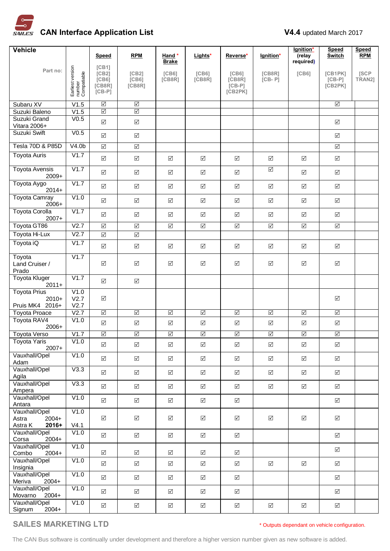

| <b>Vehicle</b>                                        |                                           |                                                |                                       |                              |                              |                                                     |                                 | lgnition*               | <b>Speed</b>                   | <b>Speed</b>   |
|-------------------------------------------------------|-------------------------------------------|------------------------------------------------|---------------------------------------|------------------------------|------------------------------|-----------------------------------------------------|---------------------------------|-------------------------|--------------------------------|----------------|
|                                                       |                                           | <b>Speed</b>                                   | <b>RPM</b>                            | Hand *<br><b>Brake</b>       | Lights*                      | Reverse*                                            | lgnition*                       | (relay<br>required)     | Switch                         | <b>RPM</b>     |
| Part no:                                              | Earliest version<br>number<br>Compatiable | [CB1]<br>[CB2]<br>[C B6]<br>[CB8R]<br>$[CB-P]$ | [CB2]<br>[C <sub>B6</sub> ]<br>[CB8R] | [C <sub>B6</sub> ]<br>[CB8R] | [C <sub>B6</sub> ]<br>[CB8R] | [C <sub>B6</sub> ]<br>[CB8R]<br>$[CB-P]$<br>[CB2PK] | [CB8R]<br>$[CB - P]$            | [C <sub>6</sub> ]       | [CB1PK]<br>$[CB-P]$<br>[CB2PK] | [SCP<br>TRAN2] |
| Subaru XV                                             | V1.5                                      | $\triangledown$                                | $\triangledown$                       |                              |                              |                                                     |                                 |                         | $\Delta$                       |                |
| Suzuki Baleno                                         | V1.5                                      | $\overline{\vee}$                              | $\overline{\vee}$                     |                              |                              |                                                     |                                 |                         |                                |                |
| Suzuki Grand<br>Vitara 2006+                          | V <sub>0.5</sub>                          | $\boxed{\checkmark}$                           | $\Delta$                              |                              |                              |                                                     |                                 |                         | $\boxed{\checkmark}$           |                |
| Suzuki Swift                                          | V <sub>0.5</sub>                          | $\boxed{\checkmark}$                           | $\Delta$                              |                              |                              |                                                     |                                 |                         | $\triangledown$                |                |
| Tesla 70D & P85D                                      | V4.0 <sub>b</sub>                         | $\boxed{\checkmark}$                           | $\Delta$                              |                              |                              |                                                     |                                 |                         | $\Delta$                       |                |
| <b>Toyota Auris</b>                                   | V1.7                                      | $\Delta$                                       | $\boxed{\checkmark}$                  | $\sqrt{}$                    | $\overline{\mathsf{v}}$      | $\boxed{\checkmark}$                                | $\Delta$                        | $\boxed{\checkmark}$    | $\boxed{\checkmark}$           |                |
| <b>Toyota Avensis</b><br>$2009+$                      | V1.7                                      | $\Delta$                                       | $\sqrt{ }$                            | $\sqrt{ }$                   | $\triangledown$              | $\boxed{\checkmark}$                                | $\overline{\blacktriangleleft}$ | $\triangledown$         | $\triangledown$                |                |
| Toyota Aygo<br>$2014+$                                | V1.7                                      | $\boxed{\checkmark}$                           | $\boxed{\checkmark}$                  | $\sqrt{}$                    | $\Delta$                     | $\sqrt{ }$                                          | $\Delta$                        | $\boxed{\checkmark}$    | $\Delta$                       |                |
| <b>Toyota Camray</b><br>$2006+$                       | V1.0                                      | $\boxed{\checkmark}$                           | $\Delta$                              | $\sqrt{ }$                   | $\triangledown$              | $\boxed{\checkmark}$                                | $\Delta$                        | $\boxed{\checkmark}$    | $\boxed{\checkmark}$           |                |
| <b>Toyota Corolla</b><br>$2007+$                      | V1.7                                      | $\Delta$                                       | $\Delta$                              | $\sqrt{}$                    | $\overline{\mathsf{v}}$      | $\boxed{\checkmark}$                                | $\Delta$                        | $\boxed{\checkmark}$    | $\boxed{\checkmark}$           |                |
| Toyota GT86                                           | V2.7                                      | $\boxed{\checkmark}$                           | $\boxed{\checkmark}$                  | $\boxed{\checkmark}$         | $\boxed{\checkmark}$         | $\boxed{\checkmark}$                                | $\Delta$                        | $\Delta$                | $\boxed{\checkmark}$           |                |
| Toyota Hi-Lux                                         | V2.7                                      | $\boxed{\checkmark}$                           | $\boxed{\checkmark}$                  |                              |                              |                                                     |                                 |                         |                                |                |
| Toyota iQ                                             | V1.7                                      | $\boxed{\checkmark}$                           | $\Delta$                              | $\sqrt{ }$                   | $\overline{\mathsf{v}}$      | $\sqrt{ }$                                          | $\Delta$                        | $\Delta$                | $\boxed{\checkmark}$           |                |
| Toyota<br>Land Cruiser /<br>Prado                     | V1.7                                      | $\Delta$                                       | $\boxed{\checkmark}$                  | $\boxed{\checkmark}$         | $\boxed{\checkmark}$         | $\boxed{\checkmark}$                                | $\Delta$                        | $\boxed{\searrow}$      | $\boxed{\checkmark}$           |                |
| <b>Toyota Kluger</b><br>$2011+$                       | V1.7                                      | $\Delta$                                       | $\Delta$                              |                              |                              |                                                     |                                 |                         |                                |                |
| <b>Toyota Prius</b><br>$2010+$<br>Pruis MK4 2016+     | V1.0<br>V2.7<br>V2.7                      | $\sqrt{}$                                      |                                       |                              |                              |                                                     |                                 |                         | $\boxed{\checkmark}$           |                |
| <b>Toyota Proace</b>                                  | V2.7                                      | $\Delta$                                       | $\overline{\mathsf{M}}$               | $\overline{\leq}$            | $\overline{\mathbb{S}}$      | $\overline{\mathbb{S}}$                             | $\overline{\leq}$               | $\overline{\mathbb{S}}$ | $\overline{\leq}$              |                |
| Toyota RAV4<br>$2006+$                                | V1.0                                      | $\overline{\mathsf{v}}$                        | $\Delta$                              | $\boxed{\checkmark}$         | $\boxed{\checkmark}$         | $\boxed{\checkmark}$                                | $\Delta$                        | $\boxed{\checkmark}$    | $\boxed{\checkmark}$           |                |
| <b>Toyota Verso</b>                                   | V1.7                                      | $\triangledown$                                | $\triangledown$                       | $\triangledown$              | $\triangledown$              | $\triangledown$                                     | $\triangledown$                 | $\triangledown$         | $\triangledown$                |                |
| <b>Toyota Yaris</b><br>$2007+$                        | V1.0                                      | $\boxed{\checkmark}$                           | $\boxed{\checkmark}$                  | $\sqrt{}$                    | $\triangledown$              | ☑                                                   | $\Delta$                        | $\boxed{\checkmark}$    | ☑                              |                |
| Vauxhall/Opel<br>Adam                                 | V1.0                                      | $\sqrt{}$                                      | $\sqrt{ }$                            | $\Delta$                     | $\triangledown$              | $\boxed{\checkmark}$                                | $\sqrt{}$                       | $\triangledown$         | $\boxed{\checkmark}$           |                |
| Vauxhall/Opel<br>Agila                                | V3.3                                      | $\Delta$                                       | $\triangledown$                       | $\boxed{\checkmark}$         | $\triangledown$              | $\boxed{\checkmark}$                                | $\triangledown$                 | $\boxed{\checkmark}$    | $\boxed{\checkmark}$           |                |
| Vauxhall/Opel<br>Ampera                               | V3.3                                      | $\Delta$                                       | $\sqrt{}$                             | $\boxed{\checkmark}$         | $\triangledown$              | $\triangledown$                                     | $\sqrt{}$                       | $\sqrt{ }$              | $\overline{\mathsf{v}}$        |                |
| Vauxhall/Opel<br>Antara                               | V1.0                                      | $\Delta$                                       | $\sqrt{}$                             | $\triangledown$              | $\sqrt{}$                    | $\boxed{\checkmark}$                                |                                 |                         | $\triangledown$                |                |
| Vauxhall/Opel<br>Astra<br>2004+<br>$2016+$<br>Astra K | V1.0<br>V4.1                              | $\triangledown$                                | $\triangledown$                       | $\triangledown$              | $\triangledown$              | $\boxed{\checkmark}$                                | $\triangledown$                 | $\boxed{\checkmark}$    | $\boxed{\checkmark}$           |                |
| Vauxhall/Opel<br>Corsa<br>$2004+$                     | V1.0                                      | $\triangledown$                                | $\triangledown$                       | $\boxed{\checkmark}$         | $\triangledown$              | ☑                                                   |                                 |                         | $\boxed{\checkmark}$           |                |
| Vauxhall/Opel<br>Combo<br>$2004+$                     | V1.0                                      | $\Delta$                                       | $\sqrt{}$                             | $\boxed{\checkmark}$         | $\sqrt{}$                    | $\triangledown$                                     |                                 |                         | $\triangledown$                |                |
| Vauxhall/Opel<br>Insignia                             | $\overline{V1.0}$                         | $\Delta$                                       | $\sqrt{}$                             | $\boxed{\checkmark}$         | $\triangledown$              | $\boxed{\checkmark}$                                | $\Delta$                        | $\Delta$                | $\boxed{\checkmark}$           |                |
| Vauxhall/Opel<br>$2004+$<br>Meriva                    | $\overline{V1.0}$                         | $\Delta$                                       | $\Delta$                              | ☑                            | $\triangledown$              | $\boxed{\checkmark}$                                |                                 |                         | $\boxed{\checkmark}$           |                |
| Vauxhall/Opel<br>Movarno<br>$2004+$                   | V1.0                                      | $\sqrt{}$                                      | $\sqrt{ }$                            | $\triangledown$              | $\triangledown$              | $\boxed{\checkmark}$                                |                                 |                         | $\boxed{\checkmark}$           |                |
| Vauxhall/Opel<br>Signum<br>$2004+$                    | $\overline{V1.0}$                         | $\Delta$                                       | $\triangledown$                       | $\Delta$                     | $\triangledown$              | $\Delta$                                            | $\Delta$                        | $\Delta$                | $\boxed{\checkmark}$           |                |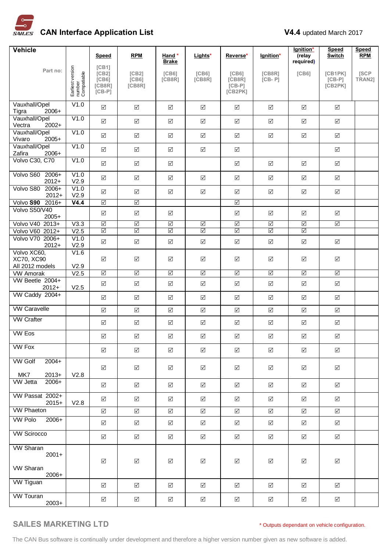

| <b>Vehicle</b>                                    |                                           |                                                            |                            |                              |                              |                                                     |                         | lgnition*               | <b>Speed</b>                   | Speed          |
|---------------------------------------------------|-------------------------------------------|------------------------------------------------------------|----------------------------|------------------------------|------------------------------|-----------------------------------------------------|-------------------------|-------------------------|--------------------------------|----------------|
|                                                   |                                           | Speed                                                      | <b>RPM</b>                 | Hand *<br><b>Brake</b>       | Lights*                      | Reverse*                                            | lgnition*               | (relay<br>required)     | <b>Switch</b>                  | <b>RPM</b>     |
| Part no:                                          | Earliest version<br>number<br>Compatiable | [CB1]<br>[CB2]<br>[C <sub>B6</sub> ]<br>[CB8R]<br>$[CB-P]$ | [CB2]<br>[C B 6]<br>[CB8R] | [C <sub>B6</sub> ]<br>[CB8R] | [C <sub>B6</sub> ]<br>[CB8R] | [C <sub>B6</sub> ]<br>[CB8R]<br>$[CB-P]$<br>[CB2PK] | [CB8R]<br>$[CB - P]$    | [C <sub>B6</sub> ]      | [CB1PK]<br>$[CB-P]$<br>[CB2PK] | [SCP<br>TRAN2] |
| Vauxhall/Opel<br>Tigra<br>2006+                   | V1.0                                      | $\Delta$                                                   | $\triangledown$            | $\Delta$                     | $\sqrt{}$                    | ☑                                                   | $\Delta$                | $\boxed{\checkmark}$    | ☑                              |                |
| Vauxhall/Opel<br>Vectra<br>$2002+$                | V1.0                                      | $\boxed{\checkmark}$                                       | $\Delta$                   | $\boxed{\checkmark}$         | $\sqrt{}$                    | $\boxed{\checkmark}$                                | $\boxed{\checkmark}$    | $\Delta$                | $\Delta$                       |                |
| Vauxhall/Opel<br>Vivaro<br>$2005+$                | V1.0                                      | $\overline{\mathsf{v}}$                                    | $\boxed{\checkmark}$       | $\boxed{\checkmark}$         | $\sqrt{}$                    | $\boxed{\checkmark}$                                | $\boxed{\checkmark}$    | $\Delta$                | $\boxed{\checkmark}$           |                |
| Vauxhall/Opel<br>Zafira<br>2006+                  | V1.0                                      | $\boxed{\checkmark}$                                       | $\boxed{\checkmark}$       | $\boxed{\checkmark}$         | $\boxed{\checkmark}$         | $\boxed{\checkmark}$                                |                         |                         | $\boxed{\checkmark}$           |                |
| Volvo C30, C70                                    | V1.0                                      | $\Delta$                                                   | $\sqrt{}$                  | $\sqrt{ }$                   |                              | $\sqrt{ }$                                          | $\boxed{\checkmark}$    | $\Delta$                | $\triangledown$                |                |
| Volvo S60 2006+<br>$2012+$                        | V1.0<br>V2.9                              | $\boxed{\checkmark}$                                       | $\Delta$                   | $\boxed{\checkmark}$         | $\sqrt{}$                    | $\boxed{\checkmark}$                                | $\boxed{\checkmark}$    | $\boxed{\checkmark}$    | $\boxed{\checkmark}$           |                |
| Volvo S80<br>$2006+$<br>$2012+$                   | V1.0<br>V2.9                              | $\Delta$                                                   | $\triangledown$            | $\boxed{\checkmark}$         | $\sqrt{}$                    | $\boxed{\checkmark}$                                | $\boxed{\checkmark}$    | $\Delta$                | $\Delta$                       |                |
| Volvo S90 2016+                                   | V4.4                                      | $\triangledown$                                            | $\triangledown$            |                              |                              | $\triangledown$                                     |                         |                         |                                |                |
| Volvo S50/V40<br>$2005+$                          |                                           | $\Delta$                                                   | $\boxed{\checkmark}$       | $\Delta$                     |                              | $\boxed{\checkmark}$                                | $\Delta$                | $\Delta$                | ☑                              |                |
| Volvo V40 2013+                                   | V3.3                                      | $\triangledown$                                            | $\triangledown$            | $\overline{\mathbb{S}}$      | $\boxed{\checkmark}$         | $\triangledown$                                     | $\triangledown$         | $\triangledown$         | $\Delta$                       |                |
| Volvo V60 2012+                                   | V2.5                                      | $\triangledown$                                            | $\triangledown$            | $\overline{\mathbb{S}}$      | $\triangledown$              | $\overline{\mathbb{S}}$                             | $\overline{\mathbb{S}}$ | $\overline{\mathbb{S}}$ |                                |                |
| Volvo V70 2006+<br>$2012+$                        | V1.0<br>V2.9                              | $\overline{\mathsf{v}}$                                    | $\Delta$                   | $\boxed{\checkmark}$         | $\Delta$                     | $\boxed{\checkmark}$                                | $\sqrt{}$               | $\Delta$                | $\boxed{\checkmark}$           |                |
| Volvo XC60,<br>XC70, XC90<br>All 2012 models      | V1.6<br>V2.9                              | $\sqrt{ }$                                                 | $\Delta$                   | ☑                            | $\boxed{\checkmark}$         | $\boxed{\checkmark}$                                | $\boxed{\checkmark}$    | $\Delta$                | $\Delta$                       |                |
| <b>VW Amorak</b>                                  | V2.5                                      | $\triangledown$                                            | $\triangledown$            | $\triangledown$              | $\overline{\mathbb{S}}$      | $\boxed{\checkmark}$                                | $\overline{\mathbb{S}}$ | $\triangledown$         | $\triangledown$                |                |
| VW Beetle 2004+<br>$2012+$                        | V2.5                                      | $\boxed{\checkmark}$                                       | $\Delta$                   | $\boxed{\checkmark}$         | $\boxed{\checkmark}$         | $\boxed{\checkmark}$                                | $\boxed{\checkmark}$    | $\boxed{\checkmark}$    | $\boxed{\checkmark}$           |                |
| VW Caddy 2004+                                    |                                           | $\Delta$                                                   | $\Delta$                   | $\boxed{\checkmark}$         | $\Delta$                     | $\boxed{\checkmark}$                                | $\boxed{\checkmark}$    | $\Delta$                | $\Delta$                       |                |
| <b>VW Caravelle</b>                               |                                           | $\boxed{\checkmark}$                                       | $\Delta$                   | $\boxed{\checkmark}$         | $\boxed{\checkmark}$         | $\boxed{\checkmark}$                                | $\boxed{\checkmark}$    | $\Delta$                | $\Delta$                       |                |
| <b>VW Crafter</b>                                 |                                           | $\boxed{\checkmark}$                                       | $\Delta$                   | $\Delta$                     | $\sqrt{}$                    | $\boxed{\checkmark}$                                | $\sqrt{}$               | $\Delta$                | $\boxed{\checkmark}$           |                |
| <b>VW Eos</b>                                     |                                           | $\Delta$                                                   | $\Delta$                   | $\boxed{\checkmark}$         | $\boxed{\checkmark}$         | $\sqrt{}$                                           | $\boxed{\checkmark}$    | $\boxed{\checkmark}$    | $\sqrt{}$                      |                |
| <b>VW Fox</b>                                     |                                           | $\triangledown$                                            | $\triangledown$            | ☑                            | $\Delta$                     | ☑                                                   | $\triangledown$         | ☑                       | $\triangledown$                |                |
| <b>VW Golf</b><br>$2004+$<br>MK7<br>$2013+$       | V2.8                                      | ☑                                                          | $\triangledown$            | ☑                            | $\sqrt{}$                    | ☑                                                   | ☑                       | ☑                       | ☑                              |                |
| <b>VW Jetta</b><br>2006+                          |                                           | $\boxed{\checkmark}$                                       | $\boxed{\checkmark}$       | ☑                            | $\Delta$                     | ☑                                                   | $\boxed{\checkmark}$    | ☑                       | ☑                              |                |
| VW Passat 2002+<br>$2015+$                        | V2.8                                      | $\overline{\mathsf{v}}$                                    | $\boxed{\checkmark}$       | $\sqrt{ }$                   | $\Delta$                     | ☑                                                   | $\triangledown$         | $\Delta$                | $\triangledown$                |                |
| <b>VW Phaeton</b>                                 |                                           | $\Delta$                                                   | $\Delta$                   | $\sqrt{ }$                   | $\sqrt{}$                    | $\sqrt{ }$                                          | $\boxed{\checkmark}$    | $\boxed{\checkmark}$    | $\triangledown$                |                |
| <b>VW Polo</b><br>2006+                           |                                           | ☑                                                          | $\triangledown$            | ☑                            | $\Delta$                     | ☑                                                   | ☑                       | ☑                       | ☑                              |                |
| <b>VW Scirocco</b>                                |                                           | $\Delta$                                                   | $\boxed{\checkmark}$       | ☑                            | $\boxed{\checkmark}$         | ☑                                                   | $\boxed{\checkmark}$    | $\boxed{\checkmark}$    | ☑                              |                |
| <b>VW Sharan</b><br>$2001+$<br>VW Sharan<br>2006+ |                                           | $\boxed{\checkmark}$                                       | $\boxed{\checkmark}$       | $\boxed{\checkmark}$         | $\boxed{\searrow}$           | $\boxed{\checkmark}$                                | $\Delta$                | $\boxed{\checkmark}$    | $\boxed{\checkmark}$           |                |
| <b>VW Tiguan</b>                                  |                                           | ☑                                                          | $\boxed{\checkmark}$       | ☑                            | $\Delta$                     | ☑                                                   | $\triangledown$         | ☑                       | $\triangledown$                |                |
| <b>VW Touran</b><br>$2003+$                       |                                           | $\Delta$                                                   | ☑                          | ☑                            | ☑                            | ☑                                                   | $\boxed{\checkmark}$    | ☑                       | $\triangledown$                |                |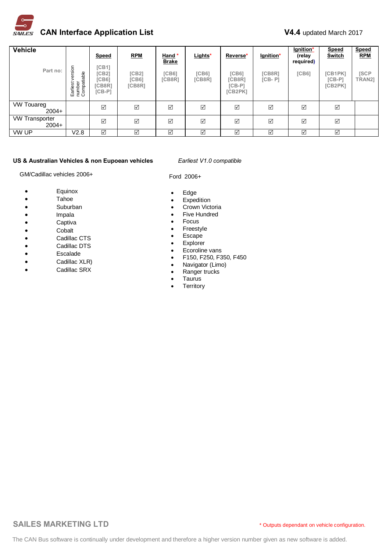

| <b>Vehicle</b>                   |                                                | <b>Speed</b>                                         | <b>RPM</b>               | Hand *<br><b>Brake</b> | Lights*                | Reverse*                                      | lgnition*            | lgnition*<br>(relay<br>required) | <b>Speed</b><br>Switch         | <b>Speed</b><br><b>RPM</b> |
|----------------------------------|------------------------------------------------|------------------------------------------------------|--------------------------|------------------------|------------------------|-----------------------------------------------|----------------------|----------------------------------|--------------------------------|----------------------------|
| Part no:                         | sion<br>number<br>Compatiable<br>Φ<br>Earliest | [CB1]<br>ICB21<br><b>[CB6]</b><br>[CB8R]<br>$[CB-P]$ | [CB2]<br>ICB61<br>[CB8R] | $ICB6$ ]<br>[CB8R]     | <b>[CB6]</b><br>[CB8R] | <b>[CB6]</b><br>[CB8R]<br>$[CB-P]$<br>[CB2PK] | [CB8R]<br>$[CB - P]$ | <b>[CB6]</b>                     | [CB1PK]<br>$[CB-P]$<br>[CB2PK] | <b>ISCP</b><br>TRAN2]      |
| <b>VW Touareg</b><br>$2004+$     |                                                | ☑                                                    | ☑                        | ☑                      | ☑                      | ☑                                             | ☑                    | ☑                                | $\triangledown$                |                            |
| <b>VW Transporter</b><br>$2004+$ |                                                | $\Delta$                                             | $\triangledown$          | ☑                      | $\boxed{\checkmark}$   | ☑                                             | ☑                    | ☑                                | $\Delta$                       |                            |
| VW UP                            | V2.8                                           | $\Delta$                                             | ☑                        | ☑                      | $\boxed{\checkmark}$   | $\Delta$                                      | ☑                    | ☑                                | ☑                              |                            |

### **US & Australian Vehicles & non Eupoean vehicles** *Earliest V1.0 compatible*

GM/Cadillac vehicles 2006+

- · Equinox
- · Tahoe
- · Suburban
- · Impala
- · Captiva
- · Cobalt
- · Cadillac CTS
- · Cadillac DTS
- · Escalade
- · Cadillac XLR)
- · Cadillac SRX

Ford 2006+

- · Edge
- · Expedition
- · Crown Victoria
- · Five Hundred
- · Focus
- · Freestyle
- · Escape
- · Explorer
- · Ecoroline vans
- · F150, F250, F350, F450
- · Navigator (Limo)
- · Ranger trucks
- · Taurus
- · Territory